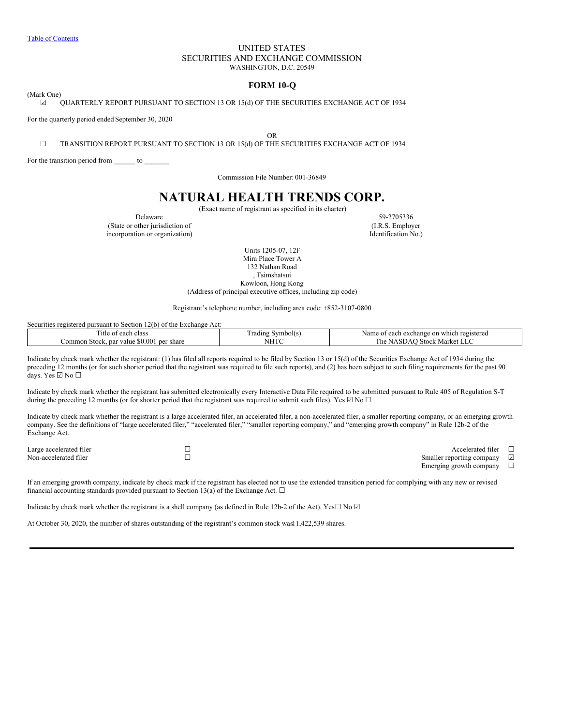## UNITED STATES SECURITIES AND EXCHANGE COMMISSION WASHINGTON, D.C. 20549

## **FORM 10-Q**

<span id="page-0-0"></span>(Mark One)

☑ QUARTERLY REPORT PURSUANT TO SECTION 13 OR 15(d) OF THE SECURITIES EXCHANGE ACT OF 1934

For the quarterly period ended September 30, 2020

OR

☐ TRANSITION REPORT PURSUANT TO SECTION 13 OR 15(d) OF THE SECURITIES EXCHANGE ACT OF 1934

For the transition period from \_\_\_\_\_\_ to \_\_\_\_\_\_\_

Commission File Number: 001-36849

# **NATURAL HEALTH TRENDS CORP.**

(Exact name of registrant as specified in its charter)

(State or other jurisdiction of incorporation or organization) Identification No.)

Delaware 59-2705336<br>
other jurisdiction of (I.R.S. Employer

Units 1205-07, 12F Mira Place Tower A 132 Nathan Road , Tsimshatsui Kowloon, Hong Kong (Address of principal executive offices, including zip code)

Registrant's telephone number, including area code: +852-3107-0800

Securities registered pursuant to Section 12(b) of the Exchange Act:

| $\sim$<br>class<br>l itle of<br>$\Delta$<br>сасн       | $\overline{\phantom{a}}$<br>radıns<br>Symbol(s | Name<br>registered<br>ı which<br>each<br>. exchange<br>$\alpha$ r |
|--------------------------------------------------------|------------------------------------------------|-------------------------------------------------------------------|
| \$0.00<br>ommon/<br>per share<br>. par value<br>Stock. | <b>NITITIC</b><br>NF                           | 'he<br>Market<br>Stock                                            |

Indicate by check mark whether the registrant: (1) has filed all reports required to be filed by Section 13 or 15(d) of the Securities Exchange Act of 1934 during the preceding 12 months (or for such shorter period that the registrant was required to file such reports), and (2) has been subject to such filing requirements for the past 90 days. Yes ☑ No ☐

Indicate by check mark whether the registrant has submitted electronically every Interactive Data File required to be submitted pursuant to Rule 405 of Regulation S-T during the preceding 12 months (or for shorter period that the registrant was required to submit such files). Yes  $\Box$  No  $\Box$ 

Indicate by check mark whether the registrant is a large accelerated filer, an accelerated filer, a non-accelerated filer, a smaller reporting company, or an emerging growth company. See the definitions of "large accelerated filer," "accelerated filer," "smaller reporting company," and "emerging growth company" in Rule 12b-2 of the Exchange Act.

Large accelerated filer □<br>
Non-accelerated filer □<br>
Non-accelerated filer □<br>
□ Smaller reporting company  $\boxtimes$ <br>Emerging growth company  $\Box$ Emerging growth company

If an emerging growth company, indicate by check mark if the registrant has elected not to use the extended transition period for complying with any new or revised financial accounting standards provided pursuant to Section 13(a) of the Exchange Act.  $\Box$ 

Indicate by check mark whether the registrant is a shell company (as defined in Rule 12b-2 of the Act). Yes $\Box$  No  $\Box$ 

At October 30, 2020, the number of shares outstanding of the registrant's common stock was11,422,539 shares.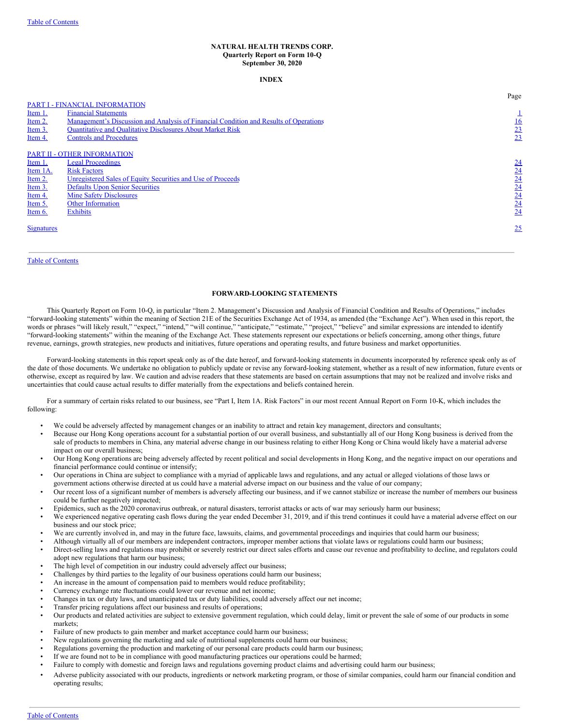#### **NATURAL HEALTH TRENDS CORP. Quarterly Report on Form 10-Q September 30, 2020**

#### **INDEX**

|                   |                                                                                       | Page             |
|-------------------|---------------------------------------------------------------------------------------|------------------|
|                   | PART I - FINANCIAL INFORMATION                                                        |                  |
| Item 1.           | <b>Financial Statements</b>                                                           |                  |
| Item 2.           | Management's Discussion and Analysis of Financial Condition and Results of Operations | <u>16</u>        |
| Item 3.           | <b>Quantitative and Qualitative Disclosures About Market Risk</b>                     |                  |
| Item 4.           | <b>Controls and Procedures</b>                                                        | $\frac{23}{23}$  |
|                   |                                                                                       |                  |
|                   | <b>PART II - OTHER INFORMATION</b>                                                    |                  |
| Item 1.           | <b>Legal Proceedings</b>                                                              | $\underline{24}$ |
| Item 1A.          | <b>Risk Factors</b>                                                                   | 24               |
| Item 2.           | Unregistered Sales of Equity Securities and Use of Proceeds                           | 24               |
| Item 3.           | <b>Defaults Upon Senior Securities</b>                                                | 24               |
| Item 4.           | <b>Mine Safety Disclosures</b>                                                        | 24               |
| Item 5.           | <b>Other Information</b>                                                              | 24               |
| Item 6.           | <b>Exhibits</b>                                                                       | 24               |
|                   |                                                                                       |                  |
| <b>Signatures</b> |                                                                                       | 25               |
|                   |                                                                                       |                  |
|                   |                                                                                       |                  |

### Table of [Contents](#page-0-0)

#### **FORWARD-LOOKING STATEMENTS**

This Quarterly Report on Form 10-Q, in particular "Item 2. Management's Discussion and Analysis of Financial Condition and Results of Operations," includes "forward-looking statements" within the meaning of Section 21E of the Securities Exchange Act of 1934, as amended (the "Exchange Act"). When used in this report, the words or phrases "will likely result," "expect," "intend," "will continue," "anticipate," "estimate," "project," "believe" and similar expressions are intended to identify "forward-looking statements" within the meaning of the Exchange Act. These statements represent our expectations or beliefs concerning, among other things, future revenue, earnings, growth strategies, new products and initiatives, future operations and operating results, and future business and market opportunities.

Forward-looking statements in this report speak only as of the date hereof, and forward-looking statements in documents incorporated by reference speak only as of the date of those documents. We undertake no obligation to publicly update or revise any forward-looking statement, whether as a result of new information, future events or otherwise, except as required by law. We caution and advise readers that these statements are based on certain assumptions that may not be realized and involve risks and uncertainties that could cause actual results to differ materially from the expectations and beliefs contained herein.

For a summary of certain risks related to our business, see "Part I, Item 1A. Risk Factors" in our most recent Annual Report on Form 10-K, which includes the following:

- We could be adversely affected by management changes or an inability to attract and retain key management, directors and consultants;
- Because our Hong Kong operations account for a substantial portion of our overall business, and substantially all of our Hong Kong business is derived from the sale of products to members in China, any material adverse change in our business relating to either Hong Kong or China would likely have a material adverse impact on our overall business;
- Our Hong Kong operations are being adversely affected by recent political and social developments in Hong Kong, and the negative impact on our operations and financial performance could continue or intensify;
- Our operations in China are subject to compliance with a myriad of applicable laws and regulations, and any actual or alleged violations of those laws or government actions otherwise directed at us could have a material adverse impact on our business and the value of our company;
- Our recent loss of a significant number of members is adversely affecting our business, and if we cannot stabilize or increase the number of members our business could be further negatively impacted;
- Epidemics, such as the 2020 coronavirus outbreak, or natural disasters, terrorist attacks or acts of war may seriously harm our business;
- We experienced negative operating cash flows during the year ended December 31, 2019, and if this trend continues it could have a material adverse effect on our business and our stock price;
- We are currently involved in, and may in the future face, lawsuits, claims, and governmental proceedings and inquiries that could harm our business;
- Although virtually all of our members are independent contractors, improper member actions that violate laws or regulations could harm our business;
- Direct-selling laws and regulations may prohibit or severely restrict our direct sales efforts and cause our revenue and profitability to decline, and regulators could adopt new regulations that harm our business;
- The high level of competition in our industry could adversely affect our business;
- Challenges by third parties to the legality of our business operations could harm our business;
- An increase in the amount of compensation paid to members would reduce profitability;
- Currency exchange rate fluctuations could lower our revenue and net income;
- Changes in tax or duty laws, and unanticipated tax or duty liabilities, could adversely affect our net income;
- Transfer pricing regulations affect our business and results of operations;
- Our products and related activities are subject to extensive government regulation, which could delay, limit or prevent the sale of some of our products in some markets;
- Failure of new products to gain member and market acceptance could harm our business;
- New regulations governing the marketing and sale of nutritional supplements could harm our business;
- Regulations governing the production and marketing of our personal care products could harm our business;
- If we are found not to be in compliance with good manufacturing practices our operations could be harmed;
- Failure to comply with domestic and foreign laws and regulations governing product claims and advertising could harm our business;
- Adverse publicity associated with our products, ingredients or network marketing program, or those of similar companies, could harm our financial condition and operating results;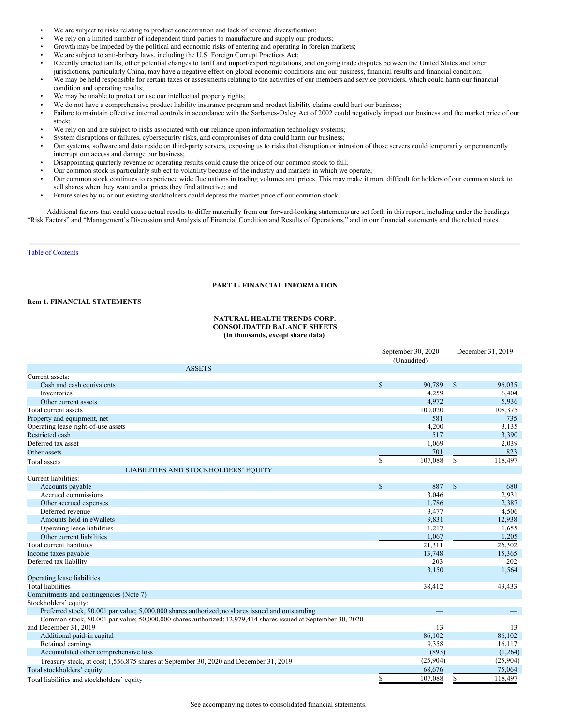- We are subject to risks relating to product concentration and lack of revenue diversification;
- We rely on a limited number of independent third parties to manufacture and supply our products;
- Growth may be impeded by the political and economic risks of entering and operating in foreign markets;
- We are subject to anti-bribery laws, including the U.S. Foreign Corrupt Practices Act;
- Recently enacted tariffs, other potential changes to tariff and import/export regulations, and ongoing trade disputes between the United States and other jurisdictions, particularly China, may have a negative effect on global economic conditions and our business, financial results and financial condition;
- We may be held responsible for certain taxes or assessments relating to the activities of our members and service providers, which could harm our financial condition and operating results;
- We may be unable to protect or use our intellectual property rights;
- We do not have a comprehensive product liability insurance program and product liability claims could hurt our business;
- Failure to maintain effective internal controls in accordance with the Sarbanes-Oxley Act of 2002 could negatively impact our business and the market price of our stock;
- We rely on and are subject to risks associated with our reliance upon information technology systems;
- System disruptions or failures, cybersecurity risks, and compromises of data could harm our business;
- Our systems, software and data reside on third-party servers, exposing us to risks that disruption or intrusion of those servers could temporarily or permanently interrupt our access and damage our business;
- Disappointing quarterly revenue or operating results could cause the price of our common stock to fall;
- Our common stock is particularly subject to volatility because of the industry and markets in which we operate;
- Our common stock continues to experience wide fluctuations in trading volumes and prices. This may make it more difficult for holders of our common stock to sell shares when they want and at prices they find attractive; and
- Future sales by us or our existing stockholders could depress the market price of our common stock.

Additional factors that could cause actual results to differ materially from our forward-looking statements are set forth in this report, including under the headings "Risk Factors" and "Management's Discussion and Analysis of Financial Condition and Results of Operations," and in our financial statements and the related notes.

### Table of [Contents](#page-0-0)

### **PART I - FINANCIAL INFORMATION**

### **Item 1. FINANCIAL STATEMENTS**

### **NATURAL HEALTH TRENDS CORP. CONSOLIDATED BALANCE SHEETS (In thousands, except share data)**

|                                                                                                               |              | September 30, 2020 |              | December 31, 2019 |
|---------------------------------------------------------------------------------------------------------------|--------------|--------------------|--------------|-------------------|
|                                                                                                               |              | (Unaudited)        |              |                   |
| <b>ASSETS</b>                                                                                                 |              |                    |              |                   |
| Current assets:                                                                                               |              |                    |              |                   |
| Cash and cash equivalents                                                                                     | $\mathbb{S}$ | 90,789             | $\mathbb{S}$ | 96,035            |
| Inventories                                                                                                   |              | 4,259              |              | 6,404             |
| Other current assets                                                                                          |              | 4,972              |              | 5,936             |
| Total current assets                                                                                          |              | 100,020            |              | 108,375           |
| Property and equipment, net                                                                                   |              | 581                |              | 735               |
| Operating lease right-of-use assets                                                                           |              | 4,200              |              | 3,135             |
| Restricted cash                                                                                               |              | 517                |              | 3,390             |
| Deferred tax asset                                                                                            |              | 1,069              |              | 2,039             |
| Other assets                                                                                                  |              | 701                |              | 823               |
| Total assets                                                                                                  | \$           | 107,088            | S            | 118,497           |
| LIABILITIES AND STOCKHOLDERS' EQUITY                                                                          |              |                    |              |                   |
| Current liabilities:                                                                                          |              |                    |              |                   |
| Accounts payable                                                                                              | \$           | 887                | $\mathbf S$  | 680               |
| Accrued commissions                                                                                           |              | 3,046              |              | 2,931             |
| Other accrued expenses                                                                                        |              | 1,786              |              | 2,387             |
| Deferred revenue                                                                                              |              | 3,477              |              | 4,506             |
| Amounts held in eWallets                                                                                      |              | 9,831              |              | 12,938            |
| Operating lease liabilities                                                                                   |              | 1,217              |              | 1,655             |
| Other current liabilities                                                                                     |              | 1,067              |              | 1,205             |
| Total current liabilities                                                                                     |              | 21,311             |              | 26,302            |
| Income taxes payable                                                                                          |              | 13,748             |              | 15,365            |
| Deferred tax liability                                                                                        |              | 203                |              | 202               |
|                                                                                                               |              | 3,150              |              | 1,564             |
| Operating lease liabilities                                                                                   |              |                    |              |                   |
| <b>Total liabilities</b>                                                                                      |              | 38,412             |              | 43,433            |
| Commitments and contingencies (Note 7)                                                                        |              |                    |              |                   |
| Stockholders' equity:                                                                                         |              |                    |              |                   |
| Preferred stock, \$0.001 par value; 5,000,000 shares authorized; no shares issued and outstanding             |              | -                  |              |                   |
| Common stock, \$0.001 par value; 50,000,000 shares authorized; 12,979,414 shares issued at September 30, 2020 |              |                    |              |                   |
| and December 31, 2019                                                                                         |              | 13                 |              | 13                |
| Additional paid-in capital                                                                                    |              | 86,102             |              | 86,102            |
| Retained earnings                                                                                             |              | 9,358              |              | 16,117            |
| Accumulated other comprehensive loss                                                                          |              | (893)              |              | (1,264)           |
| Treasury stock, at cost; 1,556,875 shares at September 30, 2020 and December 31, 2019                         |              | (25,904)           |              | (25,904)          |
| Total stockholders' equity                                                                                    |              | 68,676             |              | 75,064            |
| Total liabilities and stockholders' equity                                                                    | S            | 107,088            | S            | 118,497           |

See accompanying notes to consolidated financial statements.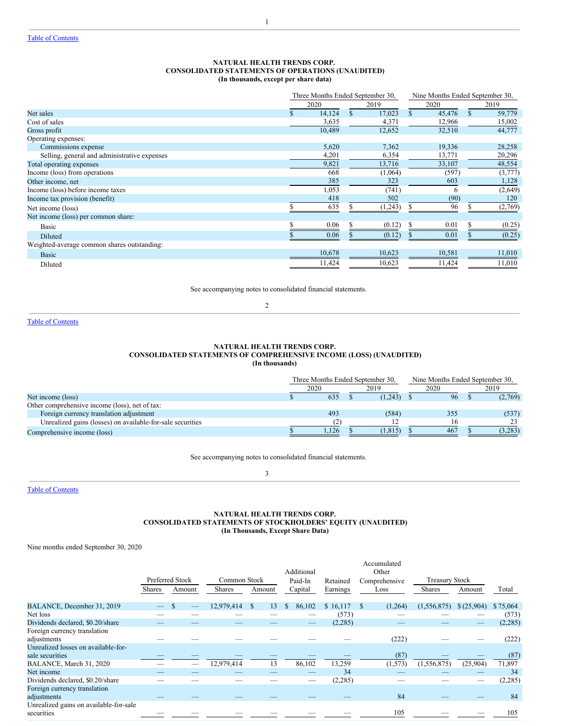### **NATURAL HEALTH TRENDS CORP. CONSOLIDATED STATEMENTS OF OPERATIONS (UNAUDITED) (In thousands, except per share data)**

1

|                                              | Three Months Ended September 30, |        |  | Nine Months Ended September 30, |  |        |              |         |
|----------------------------------------------|----------------------------------|--------|--|---------------------------------|--|--------|--------------|---------|
|                                              |                                  | 2020   |  | 2019                            |  | 2020   |              | 2019    |
| Net sales                                    |                                  | 14.124 |  | 17,023                          |  | 45.476 | $\mathbf{s}$ | 59,779  |
| Cost of sales                                |                                  | 3,635  |  | 4,371                           |  | 12,966 |              | 15,002  |
| Gross profit                                 |                                  | 10,489 |  | 12,652                          |  | 32,510 |              | 44,777  |
| Operating expenses:                          |                                  |        |  |                                 |  |        |              |         |
| Commissions expense                          |                                  | 5,620  |  | 7,362                           |  | 19,336 |              | 28,258  |
| Selling, general and administrative expenses |                                  | 4,201  |  | 6,354                           |  | 13,771 |              | 20,296  |
| Total operating expenses                     |                                  | 9,821  |  | 13,716                          |  | 33,107 |              | 48,554  |
| Income (loss) from operations                |                                  | 668    |  | (1,064)                         |  | (597)  |              | (3,777) |
| Other income, net                            |                                  | 385    |  | 323                             |  | 603    |              | 1,128   |
| Income (loss) before income taxes            |                                  | 1,053  |  | (741)                           |  | h      |              | (2,649) |
| Income tax provision (benefit)               |                                  | 418    |  | 502                             |  | (90)   |              | 120     |
| Net income (loss)                            |                                  | 635    |  | (1, 243)                        |  | 96     |              | (2,769) |
| Net income (loss) per common share:          |                                  |        |  |                                 |  |        |              |         |
| Basic                                        |                                  | 0.06   |  | (0.12)                          |  | 0.01   |              | (0.25)  |
| <b>Diluted</b>                               |                                  | 0.06   |  | (0.12)                          |  | 0.01   |              | (0.25)  |
| Weighted-average common shares outstanding:  |                                  |        |  |                                 |  |        |              |         |
| <b>Basic</b>                                 |                                  | 10,678 |  | 10,623                          |  | 10,581 |              | 11,010  |
| Diluted                                      |                                  | 11,424 |  | 10,623                          |  | 11,424 |              | 11,010  |

See accompanying notes to consolidated financial statements.

2

Table of [Contents](#page-0-0)

### **NATURAL HEALTH TRENDS CORP. CONSOLIDATED STATEMENTS OF COMPREHENSIVE INCOME (LOSS) (UNAUDITED) (In thousands)**

|                                                            | Three Months Ended September 30. |  |         | Nine Months Ended September 30. |      |  |         |  |
|------------------------------------------------------------|----------------------------------|--|---------|---------------------------------|------|--|---------|--|
|                                                            | 2020                             |  | 2019    |                                 | 2020 |  | 2019    |  |
| Net income (loss)                                          | 635                              |  | (1.243) |                                 | 96   |  | (2,769) |  |
| Other comprehensive income (loss), net of tax:             |                                  |  |         |                                 |      |  |         |  |
| Foreign currency translation adjustment                    | 493                              |  | (584)   |                                 | 355  |  | (537)   |  |
| Unrealized gains (losses) on available-for-sale securities |                                  |  |         |                                 |      |  | 23      |  |
| Comprehensive income (loss)                                | 1.126                            |  | (1.815) |                                 | 467  |  | (3,283) |  |

See accompanying notes to consolidated financial statements.

3

Table of [Contents](#page-0-0)

## **NATURAL HEALTH TRENDS CORP. CONSOLIDATED STATEMENTS OF STOCKHOLDERS' EQUITY (UNAUDITED) (In Thousands, Except Share Data)**

Nine months ended September 30, 2020

|                                                      |               |                 |               |          | Additional              |          |               | Accumulated<br>Other |                       |            |          |
|------------------------------------------------------|---------------|-----------------|---------------|----------|-------------------------|----------|---------------|----------------------|-----------------------|------------|----------|
|                                                      |               | Preferred Stock | Common Stock  |          | Paid-In                 | Retained | Comprehensive |                      | <b>Treasury Stock</b> |            |          |
|                                                      | <b>Shares</b> | Amount          | <b>Shares</b> | Amount   | Capital                 | Earnings |               | Loss                 | <b>Shares</b>         | Amount     | Total    |
| BALANCE, December 31, 2019                           |               |                 | 12,979,414    | 13<br>\$ | 86,102<br><sup>\$</sup> | \$16,117 |               | (1,264)              | (1,556,875)           | \$(25,904) | \$75,064 |
| Net loss                                             |               |                 |               |          |                         | (573)    |               |                      |                       |            | (573)    |
| Dividends declared, \$0.20/share                     |               |                 |               |          |                         | (2, 285) |               | _                    |                       |            | (2, 285) |
| Foreign currency translation<br>adjustments          |               |                 |               |          |                         |          |               | (222)                |                       |            | (222)    |
| Unrealized losses on available-for-                  |               |                 |               |          |                         |          |               |                      |                       |            |          |
| sale securities                                      |               |                 |               |          |                         |          |               | (87)                 |                       |            | (87)     |
| BALANCE, March 31, 2020                              |               |                 | 12,979,414    | 13       | 86,102                  | 13,259   |               | (1, 573)             | (1, 556, 875)         | (25,904)   | 71,897   |
| Net income                                           |               |                 |               |          |                         | 34       |               |                      |                       |            | 34       |
| Dividends declared, \$0.20/share                     |               |                 |               |          |                         | (2, 285) |               |                      |                       |            | (2, 285) |
| Foreign currency translation                         |               |                 |               |          |                         |          |               |                      |                       |            |          |
| adjustments                                          |               |                 |               |          |                         |          |               | 84                   |                       |            | 84       |
| Unrealized gains on available-for-sale<br>securities |               |                 |               |          |                         |          |               | 105                  |                       |            | 105      |
|                                                      |               |                 |               |          |                         |          |               |                      |                       |            |          |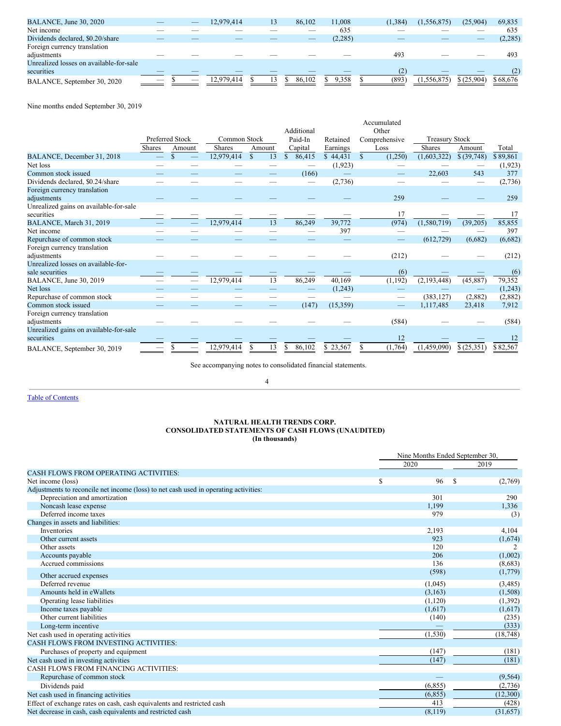| BALANCE, June 30, 2020                  |                          |   | 12.979.414 | 13 | 86.102 | 11.008  | (1.384) | (1.556.875) | (25,904)                 | 69,835   |
|-----------------------------------------|--------------------------|---|------------|----|--------|---------|---------|-------------|--------------------------|----------|
| Net income                              |                          |   |            |    |        | 635     |         |             |                          | 635      |
| Dividends declared, \$0.20/share        |                          |   |            |    |        | (2,285) | _       |             | $\overline{\phantom{a}}$ | (2, 285) |
| Foreign currency translation            |                          |   |            |    |        |         |         |             |                          |          |
| adjustments                             |                          |   |            |    |        |         | 493     |             |                          | 493      |
| Unrealized losses on available-for-sale |                          |   |            |    |        |         |         |             |                          |          |
| securities                              |                          |   |            |    |        |         |         |             |                          | (2)      |
| BALANCE, September 30, 2020             | $\overline{\phantom{a}}$ | _ | 12.979.414 |    | 86.102 | 9,358   | (893)   | (1.556.875) | \$(25,904)               | \$68,676 |

Nine months ended September 30, 2019

|                                                      |               |                 |               |           |              |          | Accumulated            |                       |              |          |
|------------------------------------------------------|---------------|-----------------|---------------|-----------|--------------|----------|------------------------|-----------------------|--------------|----------|
|                                                      |               |                 |               |           | Additional   |          | Other                  |                       |              |          |
|                                                      |               | Preferred Stock | Common Stock  |           | Paid-In      | Retained | Comprehensive          | <b>Treasury Stock</b> |              |          |
|                                                      | <b>Shares</b> | Amount          | <b>Shares</b> | Amount    | Capital      | Earnings | Loss                   | <b>Shares</b>         | Amount       | Total    |
| BALANCE, December 31, 2018                           |               |                 | 12,979,414    | 13<br>\$. | S<br>86,415  | \$44,431 | (1,250)<br>$\mathbf S$ | (1,603,322)           | \$ (39, 748) | \$89,861 |
| Net loss                                             |               |                 |               |           |              | (1,923)  |                        |                       |              | (1,923)  |
| Common stock issued                                  |               |                 |               |           | (166)        |          |                        | 22,603                | 543          | 377      |
| Dividends declared, \$0.24/share                     |               |                 |               |           |              | (2,736)  |                        |                       |              | (2,736)  |
| Foreign currency translation                         |               |                 |               |           |              |          |                        |                       |              |          |
| adjustments                                          |               |                 |               |           |              |          | 259                    |                       |              | 259      |
| Unrealized gains on available-for-sale               |               |                 |               |           |              |          |                        |                       |              |          |
| securities                                           |               |                 |               |           |              |          | 17                     |                       |              | 17       |
| BALANCE, March 31, 2019                              |               |                 | 12,979,414    | 13        | 86,249       | 39,772   | (974)                  | (1,580,719)           | (39,205)     | 85,855   |
| Net income                                           |               |                 |               |           |              | 397      | -                      |                       |              | 397      |
| Repurchase of common stock                           |               |                 |               |           |              |          |                        | (612, 729)            | (6,682)      | (6,682)  |
| Foreign currency translation                         |               |                 |               |           |              |          |                        |                       |              |          |
| adjustments                                          |               |                 |               |           |              |          | (212)                  |                       |              | (212)    |
| Unrealized losses on available-for-                  |               |                 |               |           |              |          |                        |                       |              |          |
| sale securities                                      |               |                 |               |           |              |          | (6)                    |                       |              | (6)      |
| BALANCE, June 30, 2019                               |               |                 | 12,979,414    | 13        | 86,249       | 40,169   | (1, 192)               | (2, 193, 448)         | (45, 887)    | 79,352   |
| Net loss                                             |               |                 |               |           |              | (1,243)  |                        |                       |              | (1,243)  |
| Repurchase of common stock                           |               |                 |               |           |              |          |                        | (383, 127)            | (2,882)      | (2,882)  |
| Common stock issued                                  |               |                 |               |           | (147)        | (15,359) |                        | 1,117,485             | 23,418       | 7,912    |
| Foreign currency translation<br>adjustments          |               |                 |               |           |              |          | (584)                  |                       |              | (584)    |
| Unrealized gains on available-for-sale<br>securities |               |                 |               |           |              |          | 12                     |                       |              | 12       |
| BALANCE, September 30, 2019                          |               |                 | 12.979.414    | 13<br>S   | 86.102<br>S. | \$23,567 | (1,764)                | (1.459.090)           | \$(25,351)   | \$82,567 |

See accompanying notes to consolidated financial statements.

4

Table of [Contents](#page-0-0)

#### **NATURAL HEALTH TRENDS CORP. CONSOLIDATED STATEMENTS OF CASH FLOWS (UNAUDITED) (In thousands)**

|                                                                                      | Nine Months Ended September 30, |   |           |  |  |
|--------------------------------------------------------------------------------------|---------------------------------|---|-----------|--|--|
|                                                                                      | 2020                            |   | 2019      |  |  |
| <b>CASH FLOWS FROM OPERATING ACTIVITIES:</b>                                         |                                 |   |           |  |  |
| Net income (loss)                                                                    | S<br>96                         | S | (2,769)   |  |  |
| Adjustments to reconcile net income (loss) to net cash used in operating activities: |                                 |   |           |  |  |
| Depreciation and amortization                                                        | 301                             |   | 290       |  |  |
| Noncash lease expense                                                                | 1,199                           |   | 1,336     |  |  |
| Deferred income taxes                                                                | 979                             |   | (3)       |  |  |
| Changes in assets and liabilities:                                                   |                                 |   |           |  |  |
| <b>Inventories</b>                                                                   | 2,193                           |   | 4,104     |  |  |
| Other current assets                                                                 | 923                             |   | (1,674)   |  |  |
| Other assets                                                                         | 120                             |   |           |  |  |
| Accounts payable                                                                     | 206                             |   | (1,002)   |  |  |
| Accrued commissions                                                                  | 136                             |   | (8,683)   |  |  |
| Other accrued expenses                                                               | (598)                           |   | (1,779)   |  |  |
| Deferred revenue                                                                     | (1,045)                         |   | (3,485)   |  |  |
| Amounts held in eWallets                                                             | (3,163)                         |   | (1,508)   |  |  |
| Operating lease liabilities                                                          | (1,120)                         |   | (1,392)   |  |  |
| Income taxes payable                                                                 | (1,617)                         |   | (1,617)   |  |  |
| Other current liabilities                                                            | (140)                           |   | (235)     |  |  |
| Long-term incentive                                                                  |                                 |   | (333)     |  |  |
| Net cash used in operating activities                                                | (1,530)                         |   | (18, 748) |  |  |
| <b>CASH FLOWS FROM INVESTING ACTIVITIES:</b>                                         |                                 |   |           |  |  |
| Purchases of property and equipment                                                  | (147)                           |   | (181)     |  |  |
| Net cash used in investing activities                                                | (147)                           |   | (181)     |  |  |
| CASH FLOWS FROM FINANCING ACTIVITIES:                                                |                                 |   |           |  |  |
| Repurchase of common stock                                                           |                                 |   | (9, 564)  |  |  |
| Dividends paid                                                                       | (6, 855)                        |   | (2,736)   |  |  |
| Net cash used in financing activities                                                | (6, 855)                        |   | (12,300)  |  |  |
| Effect of exchange rates on cash, cash equivalents and restricted cash               | 413                             |   | (428)     |  |  |
| Net decrease in cash, cash equivalents and restricted cash                           | (8,119)                         |   | (31,657)  |  |  |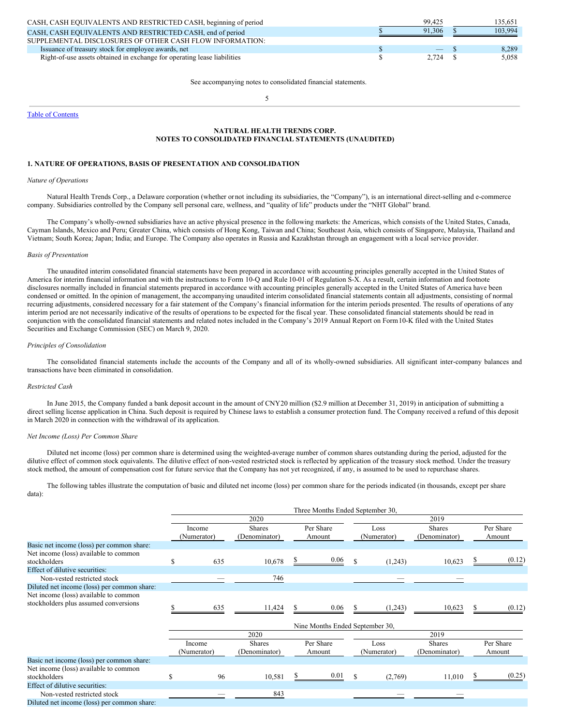| CASH, CASH EQUIVALENTS AND RESTRICTED CASH, beginning of period          | 99.425                   | 135.651 |
|--------------------------------------------------------------------------|--------------------------|---------|
| CASH, CASH EQUIVALENTS AND RESTRICTED CASH, end of period                | 91.306                   | 103,994 |
| SUPPLEMENTAL DISCLOSURES OF OTHER CASH FLOW INFORMATION:                 |                          |         |
| Issuance of treasury stock for employee awards, net                      | $\overline{\phantom{m}}$ | 8.289   |
| Right-of-use assets obtained in exchange for operating lease liabilities | 2.724                    | 5.058   |
|                                                                          |                          |         |

See accompanying notes to consolidated financial statements.

5

Table of [Contents](#page-0-0)

## **NATURAL HEALTH TRENDS CORP. NOTES TO CONSOLIDATED FINANCIAL STATEMENTS (UNAUDITED)**

#### **1. NATURE OF OPERATIONS, BASIS OF PRESENTATION AND CONSOLIDATION**

#### *Nature of Operations*

Natural Health Trends Corp., a Delaware corporation (whether ornot including its subsidiaries, the "Company"), is an international direct-selling and e-commerce company. Subsidiaries controlled by the Company sell personal care, wellness, and "quality of life" products under the "NHT Global" brand.

The Company's wholly-owned subsidiaries have an active physical presence in the following markets: the Americas, which consists of the United States, Canada, Cayman Islands, Mexico and Peru; Greater China, which consists of Hong Kong, Taiwan and China; Southeast Asia, which consists of Singapore, Malaysia, Thailand and Vietnam; South Korea; Japan; India; and Europe. The Company also operates in Russia and Kazakhstan through an engagement with a local service provider.

## *Basis of Presentation*

The unaudited interim consolidated financial statements have been prepared in accordance with accounting principles generally accepted in the United States of America for interim financial information and with the instructions to Form 10-Q and Rule 10-01 of Regulation S-X. As a result, certain information and footnote disclosures normally included in financial statements prepared in accordance with accounting principles generally accepted in the United States of America have been condensed or omitted. In the opinion of management, the accompanying unaudited interim consolidated financial statements contain all adjustments, consisting of normal recurring adjustments, considered necessary for a fair statement of the Company's financial information for the interim periods presented. The results of operations of any interim period are not necessarily indicative of the results of operations to be expected for the fiscal year. These consolidated financial statements should be read in conjunction with the consolidated financial statements and related notes included in the Company's 2019 Annual Report on Form10-K filed with the United States Securities and Exchange Commission (SEC) on March 9, 2020.

#### *Principles of Consolidation*

The consolidated financial statements include the accounts of the Company and all of its wholly-owned subsidiaries. All significant inter-company balances and transactions have been eliminated in consolidation.

#### *Restricted Cash*

In June 2015, the Company funded a bank deposit account in the amount of CNY20 million (\$2.9 million at December 31, 2019) in anticipation of submitting a direct selling license application in China. Such deposit is required by Chinese laws to establish a consumer protection fund. The Company received a refund of this deposit in March 2020 in connection with the withdrawal of its application.

### *Net Income (Loss) Per Common Share*

Diluted net income (loss) per common share is determined using the weighted-average number of common shares outstanding during the period, adjusted for the dilutive effect of common stock equivalents. The dilutive effect of non-vested restricted stock is reflected by application of the treasury stock method. Under the treasury stock method, the amount of compensation cost for future service that the Company has not yet recognized, if any, is assumed to be used to repurchase shares.

The following tables illustrate the computation of basic and diluted net income (loss) per common share for the periods indicated (in thousands, except per share data):

|                                             |     |                       |                                |     | Three Months Ended September 30, |               |                     |                                |   |                     |
|---------------------------------------------|-----|-----------------------|--------------------------------|-----|----------------------------------|---------------|---------------------|--------------------------------|---|---------------------|
|                                             |     |                       | 2020                           |     |                                  | 2019          |                     |                                |   |                     |
|                                             |     | Income<br>(Numerator) | <b>Shares</b><br>(Denominator) |     | Per Share<br>Amount              |               | Loss<br>(Numerator) | <b>Shares</b><br>(Denominator) |   | Per Share<br>Amount |
| Basic net income (loss) per common share:   |     |                       |                                |     |                                  |               |                     |                                |   |                     |
| Net income (loss) available to common       |     |                       |                                |     |                                  |               |                     |                                |   |                     |
| stockholders                                | \$. | 635                   | 10,678                         |     | 0.06                             | S             | (1,243)             | 10,623                         |   | (0.12)              |
| Effect of dilutive securities:              |     |                       |                                |     |                                  |               |                     |                                |   |                     |
| Non-vested restricted stock                 |     |                       | 746                            |     |                                  |               |                     |                                |   |                     |
| Diluted net income (loss) per common share: |     |                       |                                |     |                                  |               |                     |                                |   |                     |
| Net income (loss) available to common       |     |                       |                                |     |                                  |               |                     |                                |   |                     |
| stockholders plus assumed conversions       |     | 635                   | 11,424                         | \$. | 0.06                             |               | (1,243)             | 10,623                         | S | (0.12)              |
|                                             |     |                       |                                |     | Nine Months Ended September 30,  |               |                     |                                |   |                     |
|                                             |     |                       | 2020                           |     |                                  |               |                     | 2019                           |   |                     |
|                                             |     | Income<br>(Numerator) | <b>Shares</b><br>(Denominator) |     | Per Share<br>Amount              |               | Loss<br>(Numerator) | <b>Shares</b><br>(Denominator) |   | Per Share<br>Amount |
| Basic net income (loss) per common share:   |     |                       |                                |     |                                  |               |                     |                                |   |                     |
| Net income (loss) available to common       |     |                       |                                |     |                                  |               |                     |                                |   |                     |
| stockholders                                | S   | 96                    | 10,581                         |     | 0.01                             | <sup>\$</sup> | (2,769)             | 11,010                         |   | (0.25)              |
| Effect of dilutive securities:              |     |                       |                                |     |                                  |               |                     |                                |   |                     |
| Non-vested restricted stock                 |     |                       | 843                            |     |                                  |               |                     |                                |   |                     |
| Diluted net income (loss) per common share: |     |                       |                                |     |                                  |               |                     |                                |   |                     |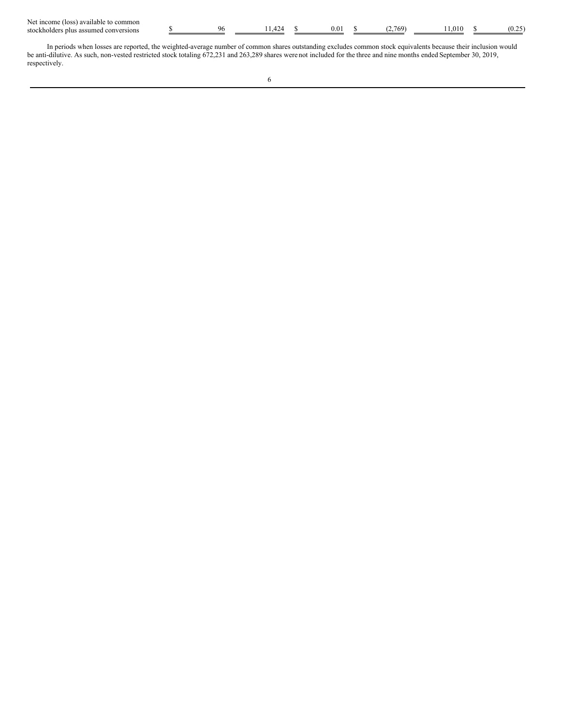| Net income (loss) available to common |
|---------------------------------------|
| stockholders plus assumed conversions |

| Net income<br>011<br>to common<br>anable<br>' IOS. |  |  |     |     |     |                  |
|----------------------------------------------------|--|--|-----|-----|-----|------------------|
| stockholder.<br>conversions<br>assum<br>plu:       |  |  | 0.0 | 760 | 010 | $\alpha$<br>،∠…ں |

In periods when losses are reported, the weighted-average number of common shares outstanding excludes common stock equivalents because their inclusion would be anti-dilutive. As such, non-vested restricted stock totaling 672,231 and 263,289 shares were not included for the three and nine months ended September 30, 2019, respectively.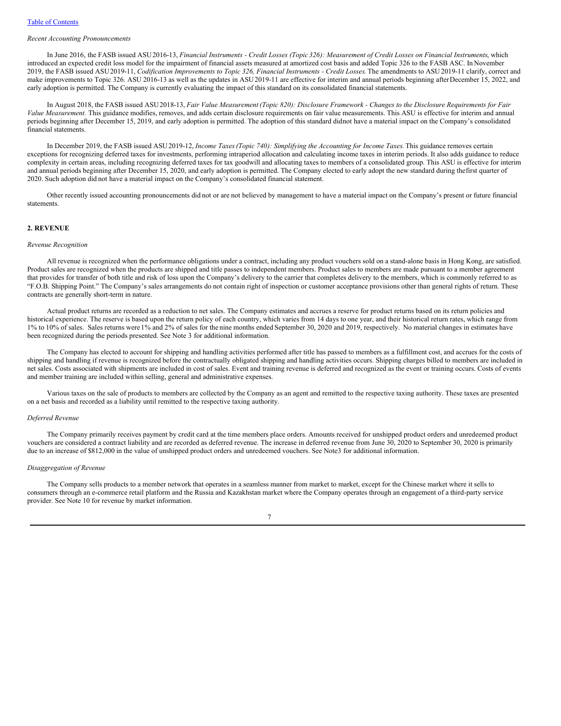### *Recent Accounting Pronouncements*

In June 2016, the FASB issued ASU 2016-13, Financial Instruments - Credit Losses (Topic 326): Measurement of Credit Losses on Financial Instruments, which introduced an expected credit loss model for the impairment of financial assets measured at amortized cost basis and added Topic 326 to the FASB ASC. In November 2019, the FASB issued ASU 2019-11, Codification Improvements to Topic 326, Financial Instruments - Credit Losses. The amendments to ASU 2019-11 clarify, correct and make improvements to Topic 326. ASU 2016-13 as well as the updates in ASU2019-11 are effective for interim and annual periods beginning afterDecember 15, 2022, and early adoption is permitted. The Company is currently evaluating the impact of this standard on its consolidated financial statements.

In August 2018, the FASB issued ASU 2018-13, Fair Value Measurement (Topic 820): Disclosure Framework - Changes to the Disclosure Requirements for Fair *Value Measurement.* This guidance modifies, removes, and adds certain disclosure requirements on fair value measurements. This ASU is effective for interim and annual periods beginning after December 15, 2019, and early adoption is permitted. The adoption of this standard didnot have a material impact on the Company's consolidated financial statements.

In December 2019, the FASB issued ASU2019-12, *Income Taxes(Topic 740): Simplifying the Accounting for Income Taxes.*This guidance removes certain exceptions for recognizing deferred taxes for investments, performing intraperiod allocation and calculating income taxes in interim periods. It also adds guidance to reduce complexity in certain areas, including recognizing deferred taxes for tax goodwill and allocating taxes to members of a consolidated group. This ASU is effective for interim and annual periods beginning after December 15, 2020, and early adoption is permitted. The Company elected to early adopt the new standard during thefirst quarter of 2020. Such adoption did not have a material impact on the Company's consolidated financial statement.

Other recently issued accounting pronouncements did not or are not believed by management to have a material impact on the Company's present or future financial statements.

#### **2. REVENUE**

#### *Revenue Recognition*

All revenue is recognized when the performance obligations under a contract, including any product vouchers sold on a stand-alone basis in Hong Kong, are satisfied. Product sales are recognized when the products are shipped and title passes to independent members. Product sales to members are made pursuant to a member agreement that provides for transfer of both title and risk of loss upon the Company's delivery to the carrier that completes delivery to the members, which is commonly referred to as "F.O.B. Shipping Point." The Company's sales arrangements do not contain right of inspection or customer acceptance provisions other than general rights of return. These contracts are generally short-term in nature.

Actual product returns are recorded as a reduction to net sales. The Company estimates and accrues a reserve for product returns based on its return policies and historical experience. The reserve is based upon the return policy of each country, which varies from 14 days to one year, and their historical return rates, which range from 1% to 10% of sales. Sales returns were 1% and 2% of sales for the nine months ended September 30, 2020 and 2019, respectively. No material changes in estimates have been recognized during the periods presented. See Note 3 for additional information.

The Company has elected to account for shipping and handling activities performed after title has passed to members as a fulfillment cost, and accrues for the costs of shipping and handling if revenue is recognized before the contractually obligated shipping and handling activities occurs. Shipping charges billed to members are included in net sales. Costs associated with shipments are included in cost of sales. Event and training revenue is deferred and recognized as the event or training occurs. Costs of events and member training are included within selling, general and administrative expenses.

Various taxes on the sale of products to members are collected by the Company as an agent and remitted to the respective taxing authority. These taxes are presented on a net basis and recorded as a liability until remitted to the respective taxing authority.

#### *Deferred Revenue*

The Company primarily receives payment by credit card at the time members place orders. Amounts received for unshipped product orders and unredeemed product vouchers are considered a contract liability and are recorded as deferred revenue. The increase in deferred revenue from June 30, 2020 to September 30, 2020 is primarily due to an increase of \$812,000 in the value of unshipped product orders and unredeemed vouchers. See Note3 for additional information.

## *Disaggregation of Revenue*

The Company sells products to a member network that operates in a seamless manner from market to market, except for the Chinese market where it sells to consumers through an e-commerce retail platform and the Russia and Kazakhstan market where the Company operates through an engagement of a third-party service provider. See Note 10 for revenue by market information.

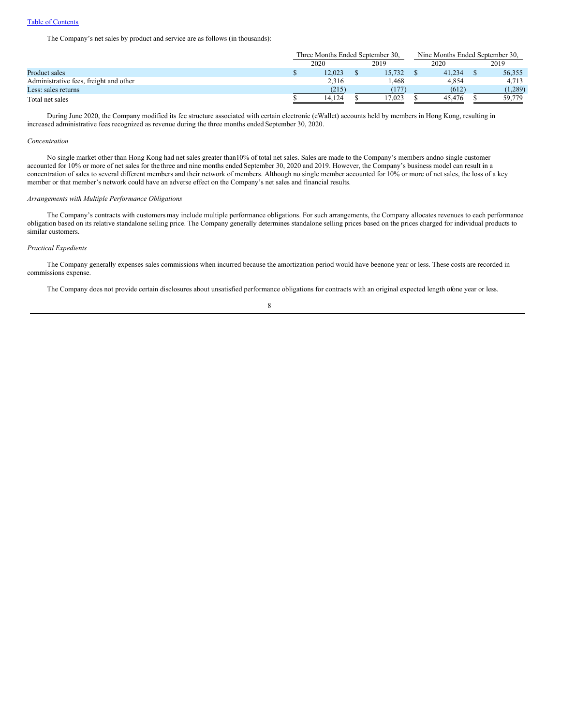The Company's net sales by product and service are as follows (in thousands):

|                                        | Three Months Ended September 30. |  | Nine Months Ended September 30. |  |        |  |         |
|----------------------------------------|----------------------------------|--|---------------------------------|--|--------|--|---------|
|                                        | 2020                             |  | 2019                            |  | 2020   |  | 2019    |
| Product sales                          | 12.023                           |  | 15.732                          |  | 41.234 |  | 56,355  |
| Administrative fees, freight and other | 2,316                            |  | l.468                           |  | 4.854  |  | 4.713   |
| Less: sales returns                    | (215)                            |  |                                 |  | (612)  |  | (1,289) |
| Total net sales                        | 14.124                           |  | 17.023                          |  | 45.476 |  | 59,779  |

During June 2020, the Company modified its fee structure associated with certain electronic (eWallet) accounts held by members in Hong Kong, resulting in increased administrative fees recognized as revenue during the three months ended September 30, 2020.

## *Concentration*

No single market other than Hong Kong had net sales greater than10% of total net sales. Sales are made to the Company's members andno single customer accounted for 10% or more of net sales for the three and nine months ended September 30, 2020 and 2019. However, the Company's business model can result in a concentration of sales to several different members and their network of members. Although no single member accounted for 10% or more of net sales, the loss of a key member or that member's network could have an adverse effect on the Company's net sales and financial results.

### *Arrangements with Multiple Performance Obligations*

The Company's contracts with customers may include multiple performance obligations. For such arrangements, the Company allocates revenues to each performance obligation based on its relative standalone selling price. The Company generally determines standalone selling prices based on the prices charged for individual products to similar customers.

### *Practical Expedients*

The Company generally expenses sales commissions when incurred because the amortization period would have beenone year or less. These costs are recorded in commissions expense.

The Company does not provide certain disclosures about unsatisfied performance obligations for contracts with an original expected length ofone year or less.

## 8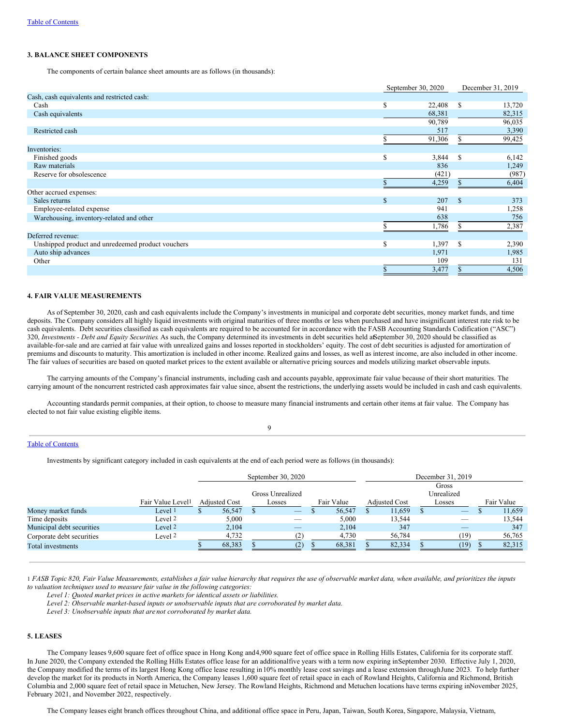### **3. BALANCE SHEET COMPONENTS**

The components of certain balance sheet amounts are as follows (in thousands):

|                                                   |   | September 30, 2020 |               | December 31, 2019 |
|---------------------------------------------------|---|--------------------|---------------|-------------------|
| Cash, cash equivalents and restricted cash:       |   |                    |               |                   |
| Cash                                              | S | 22,408             | <sup>\$</sup> | 13,720            |
| Cash equivalents                                  |   | 68,381             |               | 82,315            |
|                                                   |   | 90,789             |               | 96,035            |
| Restricted cash                                   |   | 517                |               | 3,390             |
|                                                   |   | 91,306             |               | 99,425            |
| Inventories:                                      |   |                    |               |                   |
| Finished goods                                    | S | 3,844              | -S            | 6,142             |
| Raw materials                                     |   | 836                |               | 1,249             |
| Reserve for obsolescence                          |   | (421)              |               | (987)             |
|                                                   |   | 4,259              |               | 6,404             |
| Other accrued expenses:                           |   |                    |               |                   |
| Sales returns                                     | S | 207                | -S            | 373               |
| Employee-related expense                          |   | 941                |               | 1,258             |
| Warehousing, inventory-related and other          |   | 638                |               | 756               |
|                                                   |   | 1,786              |               | 2,387             |
| Deferred revenue:                                 |   |                    |               |                   |
| Unshipped product and unredeemed product vouchers | S | 1,397              | -S            | 2,390             |
| Auto ship advances                                |   | 1,971              |               | 1,985             |
| Other                                             |   | 109                |               | 131               |
|                                                   |   | 3,477              |               | 4,506             |

#### **4. FAIR VALUE MEASUREMENTS**

As of September 30, 2020, cash and cash equivalents include the Company's investments in municipal and corporate debt securities, money market funds, and time deposits. The Company considers all highly liquid investments with original maturities of three months or less when purchased and have insignificant interest rate risk to be cash equivalents. Debt securities classified as cash equivalents are required to be accounted for in accordance with the FASB Accounting Standards Codification ("ASC") 320, *Investments - Debt and Equity Securities*. As such, the Company determined its investments in debt securities held atSeptember 30, 2020 should be classified as available-for-sale and are carried at fair value with unrealized gains and losses reported in stockholders' equity. The cost of debt securities is adjusted for amortization of premiums and discounts to maturity. This amortization is included in other income. Realized gains and losses, as well as interest income, are also included in other income. The fair values of securities are based on quoted market prices to the extent available or alternative pricing sources and models utilizing market observable inputs.

The carrying amounts of the Company's financial instruments, including cash and accounts payable, approximate fair value because of their short maturities. The carrying amount of the noncurrent restricted cash approximates fair value since, absent the restrictions, the underlying assets would be included in cash and cash equivalents.

Accounting standards permit companies, at their option, to choose to measure many financial instruments and certain other items at fair value. The Company has elected to not fair value existing eligible items.

### $\overline{Q}$

### Table of [Contents](#page-0-0)

Investments by significant category included in cash equivalents at the end of each period were as follows (in thousands):

|                           |                               |     | September 30, 2020   |  |                                                                                                                                                                                                                                                                                                                                                                                               |  |            | December 31, 2019 |                      |  |                                 |  |            |
|---------------------------|-------------------------------|-----|----------------------|--|-----------------------------------------------------------------------------------------------------------------------------------------------------------------------------------------------------------------------------------------------------------------------------------------------------------------------------------------------------------------------------------------------|--|------------|-------------------|----------------------|--|---------------------------------|--|------------|
|                           |                               |     |                      |  |                                                                                                                                                                                                                                                                                                                                                                                               |  |            | Gross             |                      |  |                                 |  |            |
|                           |                               |     | Gross Unrealized     |  |                                                                                                                                                                                                                                                                                                                                                                                               |  |            | Unrealized        |                      |  |                                 |  |            |
|                           | Fair Value Level <sup>1</sup> |     | <b>Adjusted Cost</b> |  | Losses                                                                                                                                                                                                                                                                                                                                                                                        |  | Fair Value |                   | <b>Adjusted Cost</b> |  | Losses                          |  | Fair Value |
| Money market funds        | Level <sup>1</sup>            | ۰D. | 56,547               |  | $\hspace{1.0cm} \overline{\hspace{1.0cm} \hspace{1.0cm} \hspace{1.0cm} } \hspace{1.0cm} \hspace{1.0cm} \overline{\hspace{1.0cm} \hspace{1.0cm} \hspace{1.0cm} } \hspace{1.0cm} \hspace{1.0cm} \overline{\hspace{1.0cm} \hspace{1.0cm} \hspace{1.0cm} } \hspace{1.0cm} \hspace{1.0cm} \overline{\hspace{1.0cm} \hspace{1.0cm} \hspace{1.0cm} } \hspace{1.0cm} \hspace{1.0cm} \hspace{1.0cm} }$ |  | 56,547     |                   | 11,659               |  | $\hspace{0.1mm}-\hspace{0.1mm}$ |  | 11,659     |
| Time deposits             | Level 2                       |     | 5,000                |  |                                                                                                                                                                                                                                                                                                                                                                                               |  | 5.000      |                   | 13.544               |  | $\hspace{0.1mm}-\hspace{0.1mm}$ |  | 13.544     |
| Municipal debt securities | Level <sub>2</sub>            |     | 2.104                |  | _                                                                                                                                                                                                                                                                                                                                                                                             |  | 2.104      |                   | 347                  |  | $-$                             |  | 347        |
| Corporate debt securities | Level 2                       |     | 4,732                |  |                                                                                                                                                                                                                                                                                                                                                                                               |  | 4,730      |                   | 56,784               |  | (19)                            |  | 56,765     |
| Total investments         |                               |     | 68,383               |  |                                                                                                                                                                                                                                                                                                                                                                                               |  | 68,381     |                   | 82,334               |  | (19)                            |  | 82,315     |

1 FASB Topic 820, Fair Value Measurements, establishes a fair value hierarchy that requires the use of observable market data, when available, and prioritizes the inputs *to valuation techniques used to measure fair value in the following categories:*

*Level 1: Quoted market prices in active markets for identical assets or liabilities.*

*Level 2: Observable market-based inputs or unobservable inputs that are corroborated by market data.*

*Level 3: Unobservable inputs that are not corroborated by market data.*

## **5. LEASES**

The Company leases 9,600 square feet of office space in Hong Kong and4,900 square feet of office space in Rolling Hills Estates, California for its corporate staff. In June 2020, the Company extended the Rolling Hills Estates office lease for an additionalfive years with a term now expiring inSeptember 2030. Effective July 1, 2020, the Company modified the terms of its largest Hong Kong office lease resulting in10% monthly lease cost savings and a lease extension throughJune 2023. To help further develop the market for its products in North America, the Company leases 1,600 square feet of retail space in each of Rowland Heights, California and Richmond, British Columbia and 2,000 square feet of retail space in Metuchen, New Jersey. The Rowland Heights, Richmond and Metuchen locations have terms expiring inNovember 2025, February 2021, and November 2022, respectively.

The Company leases eight branch offices throughout China, and additional office space in Peru, Japan, Taiwan, South Korea, Singapore, Malaysia, Vietnam,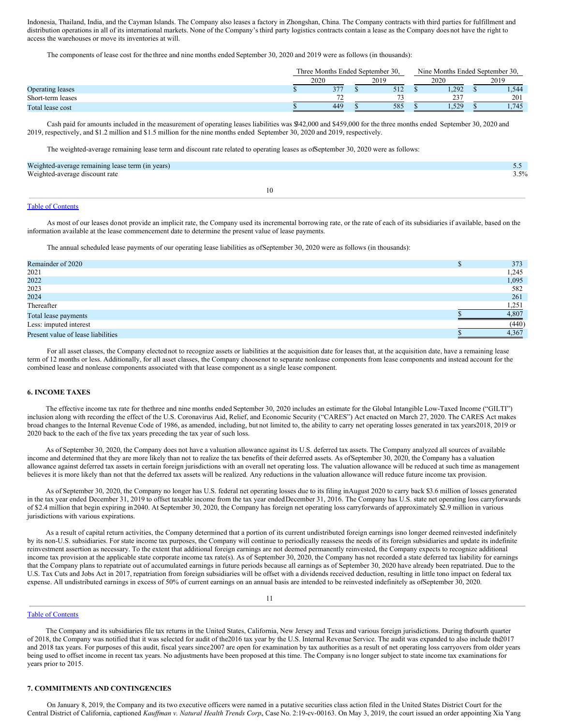Indonesia, Thailand, India, and the Cayman Islands. The Company also leases a factory in Zhongshan, China. The Company contracts with third parties for fulfillment and distribution operations in all of its international markets. None of the Company's third party logistics contracts contain a lease as the Company does not have the right to access the warehouses or move its inventories at will.

The components of lease cost for the three and nine months ended September 30, 2020 and 2019 were as follows (in thousands):

|                         | Three Months Ended September 30. |                       |      |              |      | Nine Months Ended September 30. |      |         |
|-------------------------|----------------------------------|-----------------------|------|--------------|------|---------------------------------|------|---------|
|                         | 2020                             |                       | 2019 |              | 2020 |                                 | 2019 |         |
| <b>Operating leases</b> |                                  | 277<br>J <sub>I</sub> |      | 512          |      | .292                            |      | . . 544 |
| Short-term leases       |                                  | $\sim$                |      | $\mathbf{a}$ |      | 237<br>رے                       |      | 201     |
| Total lease cost        |                                  | 449                   |      | 585          |      | 1,529                           |      | 1.745   |

Cash paid for amounts included in the measurement of operating leases liabilities was \$342,000 and \$459,000 for the three months ended September 30, 2020 and 2019, respectively, and \$1.2 million and \$1.5 million for the nine months ended September 30, 2020 and 2019, respectively.

The weighted-average remaining lease term and discount rate related to operating leases as ofSeptember 30, 2020 were as follows:

| Weighted-average remaining lease term (in years) |    | ັ້      |
|--------------------------------------------------|----|---------|
| Weighted-average discount rate                   |    | $3.5\%$ |
|                                                  | 10 |         |

## Table of [Contents](#page-0-0)

As most of our leases donot provide an implicit rate, the Company used its incremental borrowing rate, or the rate of each of its subsidiaries if available, based on the information available at the lease commencement date to determine the present value of lease payments.

The annual scheduled lease payments of our operating lease liabilities as ofSeptember 30, 2020 were as follows (in thousands):

| Remainder of 2020                  | 373   |
|------------------------------------|-------|
| 2021                               | 1,245 |
| 2022                               | 1,095 |
| 2023                               | 582   |
| 2024                               | 261   |
| Thereafter                         | 1,251 |
| Total lease payments               | 4,807 |
| Less: imputed interest             | (440) |
| Present value of lease liabilities | 4.367 |

For all asset classes, the Company elected not to recognize assets or liabilities at the acquisition date for leases that, at the acquisition date, have a remaining lease term of 12 months or less. Additionally, for all asset classes, the Company choosenot to separate nonlease components from lease components and instead account for the combined lease and nonlease components associated with that lease component as a single lease component.

## **6. INCOME TAXES**

The effective income tax rate for thethree and nine months ended September 30, 2020 includes an estimate for the Global Intangible Low-Taxed Income ("GILTI") inclusion along with recording the effect of the U.S. Coronavirus Aid, Relief, and Economic Security ("CARES") Act enacted on March 27, 2020. The CARES Act makes broad changes to the Internal Revenue Code of 1986, as amended, including, but not limited to, the ability to carry net operating losses generated in tax years2018, 2019 or 2020 back to the each of the five tax years preceding the tax year of such loss.

As of September 30, 2020, the Company does not have a valuation allowance against its U.S. deferred tax assets. The Company analyzed all sources of available income and determined that they are more likely than not to realize the tax benefits of their deferred assets. As ofSeptember 30, 2020, the Company has a valuation allowance against deferred tax assets in certain foreign jurisdictions with an overall net operating loss. The valuation allowance will be reduced at such time as management believes it is more likely than not that the deferred tax assets will be realized. Any reductions in the valuation allowance will reduce future income tax provision.

As of September 30, 2020, the Company no longer has U.S. federal net operating losses due to its filing inAugust 2020 to carry back \$3.6 million of losses generated in the tax year ended December 31, 2019 to offset taxable income from the tax year endedDecember 31, 2016. The Company has U.S. state net operating loss carryforwards of \$2.4 million that begin expiring in2040. At September 30, 2020, the Company has foreign net operating loss carryforwards of approximately \$2.9 million in various jurisdictions with various expirations.

As a result of capital return activities, the Company determined that a portion of its current undistributed foreign earnings isno longer deemed reinvested indefinitely by its non-U.S. subsidiaries. For state income tax purposes, the Company will continue to periodically reassess the needs of its foreign subsidiaries and update its indefinite reinvestment assertion as necessary. To the extent that additional foreign earnings are not deemed permanently reinvested, the Company expects to recognize additional income tax provision at the applicable state corporate income tax rate(s). As of September 30, 2020, the Company has not recorded a state deferred tax liability for earnings that the Company plans to repatriate out of accumulated earnings in future periods because all earnings as of September 30, 2020 have already been repatriated. Due to the U.S. Tax Cuts and Jobs Act in 2017, repatriation from foreign subsidiaries will be offset with a dividends received deduction, resulting in little tono impact on federal tax expense. All undistributed earnings in excess of 50% of current earnings on an annual basis are intended to be reinvested indefinitely as ofSeptember 30, 2020.

### Table of [Contents](#page-0-0)

The Company and its subsidiaries file tax returns in the United States, California, New Jersey and Texas and various foreign jurisdictions. During thefourth quarter of 2018, the Company was notified that it was selected for audit of the2016 tax year by the U.S. Internal Revenue Service. The audit was expanded to also include the2017 and 2018 tax years. For purposes of this audit, fiscal years since 2007 are open for examination by tax authorities as a result of net operating loss carryovers from older years being used to offset income in recent tax years. No adjustments have been proposed at this time. The Company is no longer subject to state income tax examinations for years prior to 2015.

### **7. COMMITMENTS AND CONTINGENCIES**

On January 8, 2019, the Company and its two executive officers were named in a putative securities class action filed in the United States District Court for the Central District of California, captioned *Kauf man v. Natural Health Trends Corp.*, Case No. 2:19-cv-00163. On May 3, 2019, the court issued an order appointing Xia Yang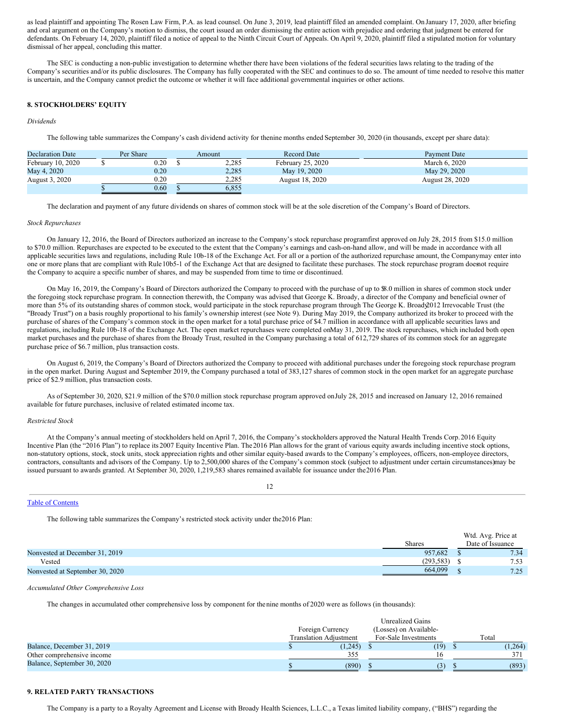as lead plaintiff and appointing The Rosen Law Firm, P.A. as lead counsel. On June 3, 2019, lead plaintiff filed an amended complaint. On January 17, 2020, after briefing and oral argument on the Company's motion to dismiss, the court issued an order dismissing the entire action with prejudice and ordering that judgment be entered for defendants. On February 14, 2020, plaintiff filed a notice of appeal to the Ninth Circuit Court of Appeals. On April 9, 2020, plaintiff filed a stipulated motion for voluntary dismissal of her appeal, concluding this matter.

The SEC is conducting a non-public investigation to determine whether there have been violations of the federal securities laws relating to the trading of the Company's securities and/or its public disclosures. The Company has fully cooperated with the SEC and continues to do so. The amount of time needed to resolve this matter is uncertain, and the Company cannot predict the outcome or whether it will face additional governmental inquiries or other actions.

### **8. STOCKHOLDERS' EQUITY**

### *Dividends*

The following table summarizes the Company's cash dividend activity for thenine months ended September 30, 2020 (in thousands, except per share data):

| <b>Declaration Date</b> | Per Share | Amount | <b>Record Date</b> | <b>Payment Date</b>    |
|-------------------------|-----------|--------|--------------------|------------------------|
| February 10, 2020       | $0.20\,$  | 2,285  | February 25, 2020  | March 6, 2020          |
| May 4, 2020             | 0.20      | 2,285  | May 19, 2020       | May 29, 2020           |
| August 3, 2020          | 0.20      | 2.285  | August 18, 2020    | <b>August 28, 2020</b> |
|                         | 0.60      | 6.855  |                    |                        |

The declaration and payment of any future dividends on shares of common stock will be at the sole discretion of the Company's Board of Directors.

#### *Stock Repurchases*

On January 12, 2016, the Board of Directors authorized an increase to the Company's stock repurchase programfirst approved on July 28, 2015 from \$15.0 million to \$70.0 million. Repurchases are expected to be executed to the extent that the Company's earnings and cash-on-hand allow, and will be made in accordance with all applicable securities laws and regulations, including Rule 10b-18 of the Exchange Act. For all or a portion of the authorized repurchase amount, the Companymay enter into one or more plans that are compliant with Rule10b5-1 of the Exchange Act that are designed to facilitate these purchases. The stock repurchase program doesnot require the Company to acquire a specific number of shares, and may be suspended from time to time or discontinued.

On May 16, 2019, the Company's Board of Directors authorized the Company to proceed with the purchase of up to \$8.0 million in shares of common stock under the foregoing stock repurchase program. In connection therewith, the Company was advised that George K. Broady, a director of the Company and beneficial owner of more than 5% of its outstanding shares of common stock, would participate in the stock repurchase program through The George K. Broad 2012 Irrevocable Trust (the "Broady Trust") on a basis roughly proportional to his family's ownership interest (see Note 9). During May 2019, the Company authorized its broker to proceed with the purchase of shares of the Company's common stock in the open market for a total purchase price of \$4.7 million in accordance with all applicable securities laws and regulations, including Rule 10b-18 of the Exchange Act. The open market repurchases were completed onMay 31, 2019. The stock repurchases, which included both open market purchases and the purchase of shares from the Broady Trust, resulted in the Company purchasing a total of 612,729 shares of its common stock for an aggregate purchase price of \$6.7 million, plus transaction costs.

On August 6, 2019, the Company's Board of Directors authorized the Company to proceed with additional purchases under the foregoing stock repurchase program in the open market. During August and September 2019, the Company purchased a total of 383,127 shares of common stock in the open market for an aggregate purchase price of \$2.9 million, plus transaction costs.

As of September 30, 2020, \$21.9 million of the \$70.0 million stock repurchase program approved onJuly 28, 2015 and increased on January 12, 2016 remained available for future purchases, inclusive of related estimated income tax.

#### *Restricted Stock*

At the Company's annual meeting of stockholders held on April 7, 2016, the Company's stockholders approved the Natural Health Trends Corp.2016 Equity Incentive Plan (the "2016 Plan") to replace its 2007 Equity Incentive Plan. The2016 Plan allows for the grant of various equity awards including incentive stock options, non-statutory options, stock, stock units, stock appreciation rights and other similar equity-based awards to the Company's employees, officers, non-employee directors, contractors, consultants and advisors of the Company. Up to 2,500,000 shares of the Company's common stock (subject to adjustment under certain circumstances)may be issued pursuant to awards granted. At September 30, 2020, 1,219,583 shares remained available for issuance under the2016 Plan.

12

### Table of [Contents](#page-0-0)

The following table summarizes the Company's restricted stock activity under the2016 Plan:

|                                 |           | Wtd. Avg. Price at |
|---------------------------------|-----------|--------------------|
|                                 | Shares    | Date of Issuance   |
| Nonvested at December 31, 2019  | 957.682   | 7.34               |
| Vested                          | (293.583) | 7.53               |
| Nonvested at September 30, 2020 | 664,099   | 7.25<br>ر ہے.      |

#### *Accumulated Other Comprehensive Loss*

The changes in accumulated other comprehensive loss by component for thenine months of 2020 were as follows (in thousands):

|                             | <b>Unrealized Gains</b>       |                        |  |         |  |  |  |  |
|-----------------------------|-------------------------------|------------------------|--|---------|--|--|--|--|
|                             | Foreign Currency              | (Losses) on Available- |  |         |  |  |  |  |
|                             | <b>Translation Adiustment</b> | For-Sale Investments   |  | Total   |  |  |  |  |
| Balance, December 31, 2019  | (1,245)                       | (19)                   |  | (1,264) |  |  |  |  |
| Other comprehensive income  | 355                           |                        |  |         |  |  |  |  |
| Balance, September 30, 2020 | (890)                         | (3)                    |  | (893)   |  |  |  |  |

#### **9. RELATED PARTY TRANSACTIONS**

The Company is a party to a Royalty Agreement and License with Broady Health Sciences, L.L.C., a Texas limited liability company, ("BHS") regarding the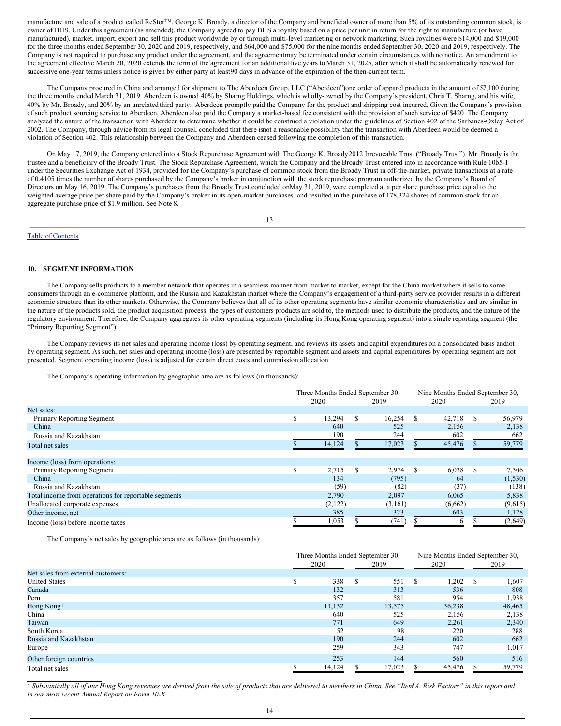manufacture and sale of a product called ReStor™. George K. Broady, a director of the Company and beneficial owner of more than 5% of its outstanding common stock, is owner of BHS. Under this agreement (as amended), the Company agreed to pay BHS a royalty based on a price per unit in return for the right to manufacture (or have manufactured), market, import, export and sell this product worldwide by or through multi-level marketing or network marketing. Such royalties were \$14,000 and \$19,000 for the three months ended September 30, 2020 and 2019, respectively, and \$64,000 and \$75,000 for the nine months ended September 30, 2020 and 2019, respectively. The Company is not required to purchase any product under the agreement, and the agreementmay be terminated under certain circumstances with no notice. An amendment to the agreement effective March 20, 2020 extends the term of the agreement for an additional five years to March 31, 2025, after which it shall be automatically renewed for successive one-year terms unless notice is given by either party at least90 days in advance of the expiration of the then-current term.

The Company procured in China and arranged for shipment to The Aberdeen Group, LLC ("Aberdeen")one order of apparel products in the amount of \$7,100 during the three months ended March 31, 2019. Aberdeen is owned 40% by Sharng Holdings, which is wholly-owned by the Company's president, Chris T. Sharng, and his wife, 40% by Mr. Broady, and 20% by an unrelated third party. Aberdeen promptly paid the Company for the product and shipping cost incurred. Given the Company's provision of such product sourcing service to Aberdeen, Aberdeen also paid the Company a market-based fee consistent with the provision of such service of \$420. The Company analyzed the nature of the transaction with Aberdeen to determine whether it could be construed a violation under the guidelines of Section 402 of the Sarbanes-Oxley Act of 2002. The Company, through advice from its legal counsel, concluded that there isnot a reasonable possibility that the transaction with Aberdeen would be deemed a violation of Section 402. This relationship between the Company and Aberdeen ceased following the completion of this transaction.

On May 17, 2019, the Company entered into a Stock Repurchase Agreement with The George K. Broady2012 Irrevocable Trust ("Broady Trust"). Mr. Broady is the trustee and a beneficiary of the Broady Trust. The Stock Repurchase Agreement, which the Company and the Broady Trust entered into in accordance with Rule 10b5-1 under the Securities Exchange Act of 1934, provided for the Company's purchase of common stock from the Broady Trust in off-the-market, private transactions at a rate of 0.4105 times the number of shares purchased by the Company's broker in conjunction with the stock repurchase program authorized by the Company's Board of Directors on May 16, 2019. The Company's purchases from the Broady Trust concluded onMay 31, 2019, were completed at a per share purchase price equal to the weighted average price per share paid by the Company's broker in its open-market purchases, and resulted in the purchase of 178,324 shares of common stock for an aggregate purchase price of \$1.9 million. See Note 8.

13

## Table of [Contents](#page-0-0)

#### **10. SEGMENT INFORMATION**

The Company sells products to a member network that operates in a seamless manner from market to market, except for the China market where it sells to some consumers through an e-commerce platform, and the Russia and Kazakhstan market where the Company's engagement of a third-party service provider results in a different economic structure than its other markets. Otherwise, the Company believes that all of its other operating segments have similar economic characteristics and are similar in the nature of the products sold, the product acquisition process, the types of customers products are sold to, the methods used to distribute the products, and the nature of the regulatory environment. Therefore, the Company aggregates its other operating segments (including its Hong Kong operating segment) into a single reporting segment (the "Primary Reporting Segment").

The Company reviews its net sales and operating income (loss) by operating segment, and reviews its assets and capital expenditures on a consolidated basis andnot by operating segment. As such, net sales and operating income (loss) are presented by reportable segment and assets and capital expenditures by operating segment are not presented. Segment operating income (loss) is adjusted for certain direct costs and commission allocation.

The Company's operating information by geographic area are as follows (in thousands):

|                                                      |   | Three Months Ended September 30, |   |         |   |         | Nine Months Ended September 30, |          |  |
|------------------------------------------------------|---|----------------------------------|---|---------|---|---------|---------------------------------|----------|--|
|                                                      |   | 2020                             |   | 2019    |   | 2020    |                                 | 2019     |  |
| Net sales:                                           |   |                                  |   |         |   |         |                                 |          |  |
| Primary Reporting Segment                            | S | 13,294                           | S | 16,254  | S | 42,718  | S                               | 56,979   |  |
| China                                                |   | 640                              |   | 525     |   | 2,156   |                                 | 2,138    |  |
| Russia and Kazakhstan                                |   | 190                              |   | 244     |   | 602     |                                 | 662      |  |
| Total net sales                                      |   | 14,124                           |   | 17,023  |   | 45,476  |                                 | 59,779   |  |
| Income (loss) from operations:                       |   |                                  |   |         |   |         |                                 |          |  |
| Primary Reporting Segment                            | ъ | 2,715                            | S | 2,974   | S | 6,038   |                                 | 7,506    |  |
| China                                                |   | 134                              |   | (795)   |   | -64     |                                 | (1, 530) |  |
| Russia and Kazakhstan                                |   | (59)                             |   | (82)    |   | (37)    |                                 | (138)    |  |
| Total income from operations for reportable segments |   | 2,790                            |   | 2,097   |   | 6,065   |                                 | 5,838    |  |
| Unallocated corporate expenses                       |   | (2,122)                          |   | (3,161) |   | (6,662) |                                 | (9,615)  |  |
| Other income, net                                    |   | 385                              |   | 323     |   | 603     |                                 | 1,128    |  |
| Income (loss) before income taxes                    |   | 1,053                            |   | (741)   |   | $\circ$ |                                 | (2,649)  |  |

The Company's net sales by geographic area are as follows (in thousands):

|                                    | Three Months Ended September 30, |   | Nine Months Ended September 30, |              |        |   |        |
|------------------------------------|----------------------------------|---|---------------------------------|--------------|--------|---|--------|
|                                    | 2020                             |   | 2019                            |              | 2020   |   | 2019   |
| Net sales from external customers: |                                  |   |                                 |              |        |   |        |
| <b>United States</b>               | 338                              | S | 551                             | <sup>S</sup> | 1,202  | S | 1,607  |
| Canada                             | 132                              |   | 313                             |              | 536    |   | 808    |
| Peru                               | 357                              |   | 581                             |              | 954    |   | 1,938  |
| Hong Kong <sup>1</sup>             | 11,132                           |   | 13,575                          |              | 36,238 |   | 48,465 |
| China                              | 640                              |   | 525                             |              | 2,156  |   | 2,138  |
| Taiwan                             | 771                              |   | 649                             |              | 2,261  |   | 2,340  |
| South Korea                        | 52                               |   | 98                              |              | 220    |   | 288    |
| Russia and Kazakhstan              | 190                              |   | 244                             |              | 602    |   | 662    |
| Europe                             | 259                              |   | 343                             |              | 747    |   | 1,017  |
| Other foreign countries            | 253                              |   | 144                             |              | 560    |   | 516    |
| Total net sales                    | 14,124                           |   | 17,023                          |              | 45,476 |   | 59,779 |

1 Substantially all of our Hong Kong revenues are derived from the sale of products that are delivered to members in China. See "Item A. Risk Factors" in this report and *in our most recent Annual Report on Form 10-K.*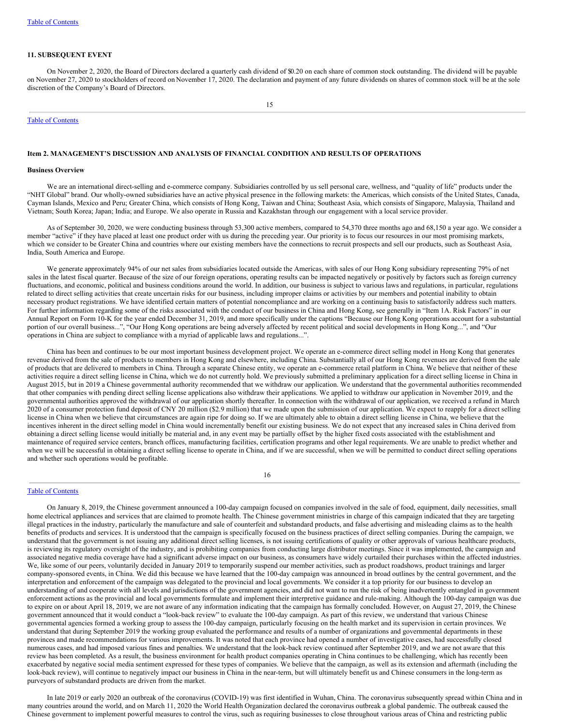### **11. SUBSEQUENT EVENT**

On November 2, 2020, the Board of Directors declared a quarterly cash dividend of \$0.20 on each share of common stock outstanding. The dividend will be payable on November 27, 2020 to stockholders of record on November 17, 2020. The declaration and payment of any future dividends on shares of common stock will be at the sole discretion of the Company's Board of Directors.

#### Table of [Contents](#page-0-0)

### **Item 2. MANAGEMENT'S DISCUSSION AND ANALYSIS OF FINANCIAL CONDITION AND RESULTS OF OPERATIONS**

### **Business Overview**

We are an international direct-selling and e-commerce company. Subsidiaries controlled by us sell personal care, wellness, and "quality of life" products under the "NHT Global" brand. Our wholly-owned subsidiaries have an active physical presence in the following markets: the Americas, which consists of the United States, Canada, Cayman Islands, Mexico and Peru; Greater China, which consists of Hong Kong, Taiwan and China; Southeast Asia, which consists of Singapore, Malaysia, Thailand and Vietnam; South Korea; Japan; India; and Europe. We also operate in Russia and Kazakhstan through our engagement with a local service provider.

As of September 30, 2020, we were conducting business through 53,300 active members, compared to 54,370 three months ago and 68,150 a year ago. We consider a member "active" if they have placed at least one product order with us during the preceding year. Our priority is to focus our resources in our most promising markets, which we consider to be Greater China and countries where our existing members have the connections to recruit prospects and sell our products, such as Southeast Asia, India, South America and Europe.

We generate approximately 94% of our net sales from subsidiaries located outside the Americas, with sales of our Hong Kong subsidiary representing 79% of net sales in the latest fiscal quarter. Because of the size of our foreign operations, operating results can be impacted negatively or positively by factors such as foreign currency fluctuations, and economic, political and business conditions around the world. In addition, our business is subject to various laws and regulations, in particular, regulations related to direct selling activities that create uncertain risks for our business, including improper claims or activities by our members and potential inability to obtain necessary product registrations. We have identified certain matters of potential noncompliance and are working on a continuing basis to satisfactorily address such matters. For further information regarding some of the risks associated with the conduct of our business in China and Hong Kong, see generally in "Item 1A. Risk Factors" in our Annual Report on Form 10-K for the year ended December 31, 2019, and more specifically under the captions "Because our Hong Kong operations account for a substantial portion of our overall business...", "Our Hong Kong operations are being adversely affected by recent political and social developments in Hong Kong...", and "Our operations in China are subject to compliance with a myriad of applicable laws and regulations...".

China has been and continues to be our most important business development project. We operate an e-commerce direct selling model in Hong Kong that generates revenue derived from the sale of products to members in Hong Kong and elsewhere, including China. Substantially all of our Hong Kong revenues are derived from the sale of products that are delivered to members in China. Through a separate Chinese entity, we operate an e-commerce retail platform in China. We believe that neither of these activities require a direct selling license in China, which we do not currently hold. We previously submitted a preliminary application for a direct selling license in China in August 2015, but in 2019 a Chinese governmental authority recommended that we withdraw our application. We understand that the governmental authorities recommended that other companies with pending direct selling license applications also withdraw their applications. We applied to withdraw our application in November 2019, and the governmental authorities approved the withdrawal of our application shortly thereafter. In connection with the withdrawal of our application, we received a refund in March 2020 of a consumer protection fund deposit of CNY 20 million (\$2.9 million) that we made upon the submission of our application. We expect to reapply for a direct selling license in China when we believe that circumstances are again ripe for doing so. If we are ultimately able to obtain a direct selling license in China, we believe that the incentives inherent in the direct selling model in China would incrementally benefit our existing business. We do not expect that any increased sales in China derived from obtaining a direct selling license would initially be material and, in any event may be partially offset by the higher fixed costs associated with the establishment and maintenance of required service centers, branch offices, manufacturing facilities, certification programs and other legal requirements. We are unable to predict whether and when we will be successful in obtaining a direct selling license to operate in China, and if we are successful, when we will be permitted to conduct direct selling operations and whether such operations would be profitable.

#### 16

### Table of [Contents](#page-0-0)

On January 8, 2019, the Chinese government announced a 100-day campaign focused on companies involved in the sale of food, equipment, daily necessities, small home electrical appliances and services that are claimed to promote health. The Chinese government ministries in charge of this campaign indicated that they are targeting illegal practices in the industry, particularly the manufacture and sale of counterfeit and substandard products, and false advertising and misleading claims as to the health benefits of products and services. It is understood that the campaign is specifically focused on the business practices of direct selling companies. During the campaign, we understand that the government is not issuing any additional direct selling licenses, is not issuing certifications of quality or other approvals of various healthcare products, is reviewing its regulatory oversight of the industry, and is prohibiting companies from conducting large distributor meetings. Since it was implemented, the campaign and associated negative media coverage have had a significant adverse impact on our business, as consumers have widely curtailed their purchases within the affected industries. We, like some of our peers, voluntarily decided in January 2019 to temporarily suspend our member activities, such as product roadshows, product trainings and larger company-sponsored events, in China. We did this because we have learned that the 100-day campaign was announced in broad outlines by the central government, and the interpretation and enforcement of the campaign was delegated to the provincial and local governments. We consider it a top priority for our business to develop an understanding of and cooperate with all levels and jurisdictions of the government agencies, and did not want to run the risk of being inadvertently entangled in government enforcement actions as the provincial and local governments formulate and implement their interpretive guidance and rule-making. Although the 100-day campaign was due to expire on or about April 18, 2019, we are not aware of any information indicating that the campaign has formally concluded. However, on August 27, 2019, the Chinese government announced that it would conduct a "look-back review" to evaluate the 100-day campaign. As part of this review, we understand that various Chinese governmental agencies formed a working group to assess the 100-day campaign, particularly focusing on the health market and its supervision in certain provinces. We understand that during September 2019 the working group evaluated the performance and results of a number of organizations and governmental departments in these provinces and made recommendations for various improvements. It was noted that each province had opened a number of investigative cases, had successfully closed numerous cases, and had imposed various fines and penalties. We understand that the look-back review continued after September 2019, and we are not aware that this review has been completed. As a result, the business environment for health product companies operating in China continues to be challenging, which has recently been exacerbated by negative social media sentiment expressed for these types of companies. We believe that the campaign, as well as its extension and aftermath (including the look-back review), will continue to negatively impact our business in China in the near-term, but will ultimately benefit us and Chinese consumers in the long-term as purveyors of substandard products are driven from the market.

In late 2019 or early 2020 an outbreak of the coronavirus (COVID-19) was first identified in Wuhan, China. The coronavirus subsequently spread within China and in many countries around the world, and on March 11, 2020 the World Health Organization declared the coronavirus outbreak a global pandemic. The outbreak caused the Chinese government to implement powerful measures to control the virus, such as requiring businesses to close throughout various areas of China and restricting public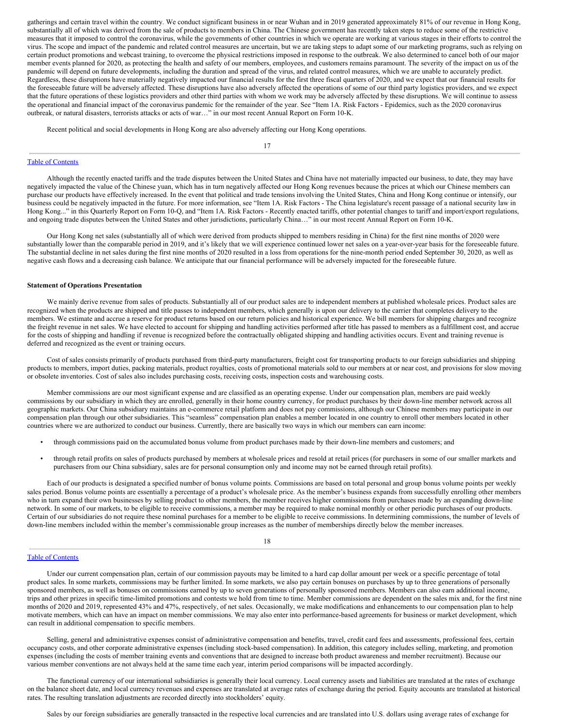gatherings and certain travel within the country. We conduct significant business in or near Wuhan and in 2019 generated approximately 81% of our revenue in Hong Kong, substantially all of which was derived from the sale of products to members in China. The Chinese government has recently taken steps to reduce some of the restrictive measures that it imposed to control the coronavirus, while the governments of other countries in which we operate are working at various stages in their efforts to control the virus. The scope and impact of the pandemic and related control measures are uncertain, but we are taking steps to adapt some of our marketing programs, such as relying on certain product promotions and webcast training, to overcome the physical restrictions imposed in response to the outbreak. We also determined to cancel both of our major member events planned for 2020, as protecting the health and safety of our members, employees, and customers remains paramount. The severity of the impact on us of the pandemic will depend on future developments, including the duration and spread of the virus, and related control measures, which we are unable to accurately predict. Regardless, these disruptions have materially negatively impacted our financial results for the first three fiscal quarters of 2020, and we expect that our financial results for the foreseeable future will be adversely affected. These disruptions have also adversely affected the operations of some of our third party logistics providers, and we expect that the future operations of these logistics providers and other third parties with whom we work may be adversely affected by these disruptions. We will continue to assess the operational and financial impact of the coronavirus pandemic for the remainder of the year. See "Item 1A. Risk Factors - Epidemics, such as the 2020 coronavirus outbreak, or natural disasters, terrorists attacks or acts of war…" in our most recent Annual Report on Form 10-K.

Recent political and social developments in Hong Kong are also adversely affecting our Hong Kong operations.

17

#### Table of [Contents](#page-0-0)

Although the recently enacted tariffs and the trade disputes between the United States and China have not materially impacted our business, to date, they may have negatively impacted the value of the Chinese yuan, which has in turn negatively affected our Hong Kong revenues because the prices at which our Chinese members can purchase our products have effectively increased. In the event that political and trade tensions involving the United States, China and Hong Kong continue or intensify, our business could be negatively impacted in the future. For more information, see "Item 1A. Risk Factors - The China legislature's recent passage of a national security law in Hong Kong..." in this Quarterly Report on Form 10-Q, and "Item 1A. Risk Factors - Recently enacted tariffs, other potential changes to tariff and import/export regulations, and ongoing trade disputes between the United States and other jurisdictions, particularly China…" in our most recent Annual Report on Form 10-K.

Our Hong Kong net sales (substantially all of which were derived from products shipped to members residing in China) for the first nine months of 2020 were substantially lower than the comparable period in 2019, and it's likely that we will experience continued lower net sales on a year-over-year basis for the foreseeable future. The substantial decline in net sales during the first nine months of 2020 resulted in a loss from operations for the nine-month period ended September 30, 2020, as well as negative cash flows and a decreasing cash balance. We anticipate that our financial performance will be adversely impacted for the foreseeable future.

#### **Statement of Operations Presentation**

We mainly derive revenue from sales of products. Substantially all of our product sales are to independent members at published wholesale prices. Product sales are recognized when the products are shipped and title passes to independent members, which generally is upon our delivery to the carrier that completes delivery to the members. We estimate and accrue a reserve for product returns based on our return policies and historical experience. We bill members for shipping charges and recognize the freight revenue in net sales. We have elected to account for shipping and handling activities performed after title has passed to members as a fulfillment cost, and accrue for the costs of shipping and handling if revenue is recognized before the contractually obligated shipping and handling activities occurs. Event and training revenue is deferred and recognized as the event or training occurs.

Cost of sales consists primarily of products purchased from third-party manufacturers, freight cost for transporting products to our foreign subsidiaries and shipping products to members, import duties, packing materials, product royalties, costs of promotional materials sold to our members at or near cost, and provisions for slow moving or obsolete inventories. Cost of sales also includes purchasing costs, receiving costs, inspection costs and warehousing costs.

Member commissions are our most significant expense and are classified as an operating expense. Under our compensation plan, members are paid weekly commissions by our subsidiary in which they are enrolled, generally in their home country currency, for product purchases by their down-line member network across all geographic markets. Our China subsidiary maintains an e-commerce retail platform and does not pay commissions, although our Chinese members may participate in our compensation plan through our other subsidiaries. This "seamless" compensation plan enables a member located in one country to enroll other members located in other countries where we are authorized to conduct our business. Currently, there are basically two ways in which our members can earn income:

- through commissions paid on the accumulated bonus volume from product purchases made by their down-line members and customers; and
- through retail profits on sales of products purchased by members at wholesale prices and resold at retail prices (for purchasers in some of our smaller markets and purchasers from our China subsidiary, sales are for personal consumption only and income may not be earned through retail profits).

Each of our products is designated a specified number of bonus volume points. Commissions are based on total personal and group bonus volume points per weekly sales period. Bonus volume points are essentially a percentage of a product's wholesale price. As the member's business expands from successfully enrolling other members who in turn expand their own businesses by selling product to other members, the member receives higher commissions from purchases made by an expanding down-line network. In some of our markets, to be eligible to receive commissions, a member may be required to make nominal monthly or other periodic purchases of our products. Certain of our subsidiaries do not require these nominal purchases for a member to be eligible to receive commissions. In determining commissions, the number of levels of down-line members included within the member's commissionable group increases as the number of memberships directly below the member increases.

## 18

#### Table of [Contents](#page-0-0)

Under our current compensation plan, certain of our commission payouts may be limited to a hard cap dollar amount per week or a specific percentage of total product sales. In some markets, commissions may be further limited. In some markets, we also pay certain bonuses on purchases by up to three generations of personally sponsored members, as well as bonuses on commissions earned by up to seven generations of personally sponsored members. Members can also earn additional income, trips and other prizes in specific time-limited promotions and contests we hold from time to time. Member commissions are dependent on the sales mix and, for the first nine months of 2020 and 2019, represented 43% and 47%, respectively, of net sales. Occasionally, we make modifications and enhancements to our compensation plan to help motivate members, which can have an impact on member commissions. We may also enter into performance-based agreements for business or market development, which can result in additional compensation to specific members.

Selling, general and administrative expenses consist of administrative compensation and benefits, travel, credit card fees and assessments, professional fees, certain occupancy costs, and other corporate administrative expenses (including stock-based compensation). In addition, this category includes selling, marketing, and promotion expenses (including the costs of member training events and conventions that are designed to increase both product awareness and member recruitment). Because our various member conventions are not always held at the same time each year, interim period comparisons will be impacted accordingly.

The functional currency of our international subsidiaries is generally their local currency. Local currency assets and liabilities are translated at the rates of exchange on the balance sheet date, and local currency revenues and expenses are translated at average rates of exchange during the period. Equity accounts are translated at historical rates. The resulting translation adjustments are recorded directly into stockholders' equity.

Sales by our foreign subsidiaries are generally transacted in the respective local currencies and are translated into U.S. dollars using average rates of exchange for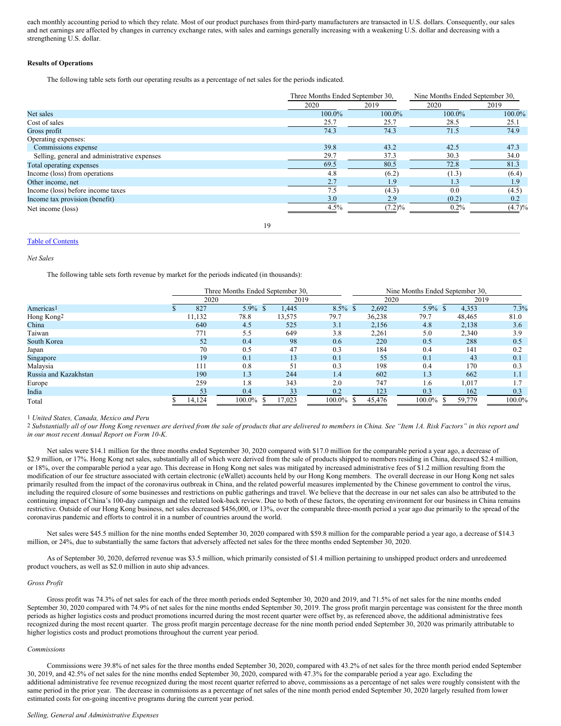each monthly accounting period to which they relate. Most of our product purchases from third-party manufacturers are transacted in U.S. dollars. Consequently, our sales and net earnings are affected by changes in currency exchange rates, with sales and earnings generally increasing with a weakening U.S. dollar and decreasing with a strengthening U.S. dollar.

#### **Results of Operations**

The following table sets forth our operating results as a percentage of net sales for the periods indicated.

|                                              | Three Months Ended September 30, |           | Nine Months Ended September 30, |           |  |  |
|----------------------------------------------|----------------------------------|-----------|---------------------------------|-----------|--|--|
|                                              | 2020                             | 2019      | 2020                            | 2019      |  |  |
| Net sales                                    | 100.0%                           | 100.0%    | 100.0%                          | $100.0\%$ |  |  |
| Cost of sales                                | 25.7                             | 25.7      | 28.5                            | 25.1      |  |  |
| Gross profit                                 | 74.3                             | 74.3      | 71.5                            | 74.9      |  |  |
| Operating expenses:                          |                                  |           |                                 |           |  |  |
| Commissions expense                          | 39.8                             | 43.2      | 42.5                            | 47.3      |  |  |
| Selling, general and administrative expenses | 29.7                             | 37.3      | 30.3                            | 34.0      |  |  |
| Total operating expenses                     | 69.5                             | 80.5      | 72.8                            | 81.3      |  |  |
| Income (loss) from operations                | 4.8                              | (6.2)     | (1.3)                           | (6.4)     |  |  |
| Other income, net                            | 2.7                              | 1.9       | 1.3                             | 1.9       |  |  |
| Income (loss) before income taxes            | 7.5                              | (4.3)     | 0.0                             | (4.5)     |  |  |
| Income tax provision (benefit)               | 3.0                              | 2.9       | (0.2)                           | 0.2       |  |  |
| Net income (loss)                            | 4.5%                             | $(7.2)\%$ | $0.2\%$                         | $(4.7)\%$ |  |  |
|                                              |                                  |           |                                 |           |  |  |

19

### Table of [Contents](#page-0-0)

*Net Sales*

The following table sets forth revenue by market for the periods indicated (in thousands):

|                       | Three Months Ended September 30, |         |  | Nine Months Ended September 30. |        |  |        |         |  |        |        |
|-----------------------|----------------------------------|---------|--|---------------------------------|--------|--|--------|---------|--|--------|--------|
|                       | 2020                             |         |  | 2019                            |        |  | 2020   |         |  | 2019   |        |
| Americas <sup>1</sup> | 827                              | $5.9\%$ |  | 1,445                           | 8.5%   |  | 2,692  | $5.9\%$ |  | 4,353  | 7.3%   |
| Hong Kong2            | 11,132                           | 78.8    |  | 13,575                          | 79.7   |  | 36,238 | 79.7    |  | 48,465 | 81.0   |
| China                 | 640                              | 4.5     |  | 525                             | 3.1    |  | 2,156  | 4.8     |  | 2,138  | 3.6    |
| Taiwan                | 771                              | 5.5     |  | 649                             | 3.8    |  | 2,261  | 5.0     |  | 2,340  | 3.9    |
| South Korea           | 52                               | 0.4     |  | 98                              | 0.6    |  | 220    | 0.5     |  | 288    | 0.5    |
| Japan                 | 70                               | 0.5     |  | 47                              | 0.3    |  | 184    | 0.4     |  | 141    | 0.2    |
| Singapore             | 19                               | 0.1     |  | 13                              | 0.1    |  | 55     | 0.1     |  | 43     | 0.1    |
| Malaysia              | 111                              | 0.8     |  | 51                              | 0.3    |  | 198    | 0.4     |  | 170    | 0.3    |
| Russia and Kazakhstan | 190                              | 1.3     |  | 244                             | 1.4    |  | 602    | 1.3     |  | 662    | 1.1    |
| Europe                | 259                              | 1.8     |  | 343                             | 2.0    |  | 747    | 1.6     |  | 1,017  | 1.7    |
| India                 | 53                               | 0.4     |  | 33                              | 0.2    |  | 123    | 0.3     |  | 162    | 0.3    |
| Total                 | 14,124                           | 100.0%  |  | 17,023                          | 100.0% |  | 45,476 | 100.0%  |  | 59,779 | 100.0% |

1 *United States, Canada, Mexico and Peru*

<sup>2</sup> Substantially all of our Hong Kong revenues are derived from the sale of products that are delivered to members in China. See "Item 1A. Risk Factors" in this report and *in our most recent Annual Report on Form 10-K.*

Net sales were \$14.1 million for the three months ended September 30, 2020 compared with \$17.0 million for the comparable period a year ago, a decrease of \$2.9 million, or 17%. Hong Kong net sales, substantially all of which were derived from the sale of products shipped to members residing in China, decreased \$2.4 million, or 18%, over the comparable period a year ago. This decrease in Hong Kong net sales was mitigated by increased administrative fees of \$1.2 million resulting from the modification of our fee structure associated with certain electronic (eWallet) accounts held by our Hong Kong members. The overall decrease in our Hong Kong net sales primarily resulted from the impact of the coronavirus outbreak in China, and the related powerful measures implemented by the Chinese government to control the virus, including the required closure of some businesses and restrictions on public gatherings and travel. We believe that the decrease in our net sales can also be attributed to the continuing impact of China's 100-day campaign and the related look-back review. Due to both of these factors, the operating environment for our business in China remains restrictive. Outside of our Hong Kong business, net sales decreased \$456,000, or 13%, over the comparable three-month period a year ago due primarily to the spread of the coronavirus pandemic and efforts to control it in a number of countries around the world.

Net sales were \$45.5 million for the nine months ended September 30, 2020 compared with \$59.8 million for the comparable period a year ago, a decrease of \$14.3 million, or 24%, due to substantially the same factors that adversely affected net sales for the three months ended September 30, 2020.

As of September 30, 2020, deferred revenue was \$3.5 million, which primarily consisted of \$1.4 million pertaining to unshipped product orders and unredeemed product vouchers, as well as \$2.0 million in auto ship advances.

#### *Gross Profit*

Gross profit was 74.3% of net sales for each of the three month periods ended September 30, 2020 and 2019, and 71.5% of net sales for the nine months ended September 30, 2020 compared with 74.9% of net sales for the nine months ended September 30, 2019. The gross profit margin percentage was consistent for the three month periods as higher logistics costs and product promotions incurred during the most recent quarter were offset by, as referenced above, the additional administrative fees recognized during the most recent quarter. The gross profit margin percentage decrease for the nine month period ended September 30, 2020 was primarily attributable to higher logistics costs and product promotions throughout the current year period.

#### *Commissions*

Commissions were 39.8% of net sales for the three months ended September 30, 2020, compared with 43.2% of net sales for the three month period ended September 30, 2019, and 42.5% of net sales for the nine months ended September 30, 2020, compared with 47.3% for the comparable period a year ago. Excluding the additional administrative fee revenue recognized during the most recent quarter referred to above, commissions as a percentage of net sales were roughly consistent with the same period in the prior year. The decrease in commissions as a percentage of net sales of the nine month period ended September 30, 2020 largely resulted from lower estimated costs for on-going incentive programs during the current year period.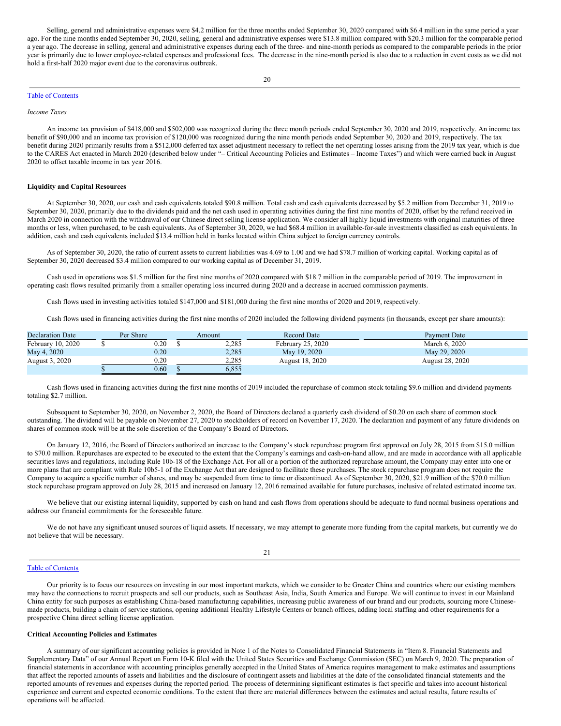Selling, general and administrative expenses were \$4.2 million for the three months ended September 30, 2020 compared with \$6.4 million in the same period a year ago. For the nine months ended September 30, 2020, selling, general and administrative expenses were \$13.8 million compared with \$20.3 million for the comparable period a year ago. The decrease in selling, general and administrative expenses during each of the three- and nine-month periods as compared to the comparable periods in the prior year is primarily due to lower employee-related expenses and professional fees. The decrease in the nine-month period is also due to a reduction in event costs as we did not hold a first-half 2020 major event due to the coronavirus outbreak.

#### Table of [Contents](#page-0-0)

*Income Taxes*

An income tax provision of \$418,000 and \$502,000 was recognized during the three month periods ended September 30, 2020 and 2019, respectively. An income tax benefit of \$90,000 and an income tax provision of \$120,000 was recognized during the nine month periods ended September 30, 2020 and 2019, respectively. The tax benefit during 2020 primarily results from a \$512,000 deferred tax asset adjustment necessary to reflect the net operating losses arising from the 2019 tax year, which is due to the CARES Act enacted in March 2020 (described below under "– Critical Accounting Policies and Estimates – Income Taxes") and which were carried back in August 2020 to offset taxable income in tax year 2016.

### **Liquidity and Capital Resources**

At September 30, 2020, our cash and cash equivalents totaled \$90.8 million. Total cash and cash equivalents decreased by \$5.2 million from December 31, 2019 to September 30, 2020, primarily due to the dividends paid and the net cash used in operating activities during the first nine months of 2020, offset by the refund received in March 2020 in connection with the withdrawal of our Chinese direct selling license application. We consider all highly liquid investments with original maturities of three months or less, when purchased, to be cash equivalents. As of September 30, 2020, we had \$68.4 million in available-for-sale investments classified as cash equivalents. In addition, cash and cash equivalents included \$13.4 million held in banks located within China subject to foreign currency controls.

As of September 30, 2020, the ratio of current assets to current liabilities was 4.69 to 1.00 and we had \$78.7 million of working capital. Working capital as of September 30, 2020 decreased \$3.4 million compared to our working capital as of December 31, 2019.

Cash used in operations was \$1.5 million for the first nine months of 2020 compared with \$18.7 million in the comparable period of 2019. The improvement in operating cash flows resulted primarily from a smaller operating loss incurred during 2020 and a decrease in accrued commission payments.

Cash flows used in investing activities totaled \$147,000 and \$181,000 during the first nine months of 2020 and 2019, respectively.

Cash flows used in financing activities during the first nine months of 2020 included the following dividend payments (in thousands, except per share amounts):

| <b>Declaration Date</b> | Per Share | Amount | <b>Record Date</b> | Payment Date    |
|-------------------------|-----------|--------|--------------------|-----------------|
| February 10, 2020       | $0.20\,$  | 2,285  | February 25, 2020  | March 6, 2020   |
| May 4, 2020             | 0.20      | 2.285  | May 19, 2020       | May 29, 2020    |
| August 3, 2020          | 0.20      | 2,285  | August 18, 2020    | August 28, 2020 |
|                         | 0.60      | 6.855  |                    |                 |

Cash flows used in financing activities during the first nine months of 2019 included the repurchase of common stock totaling \$9.6 million and dividend payments totaling \$2.7 million.

Subsequent to September 30, 2020, on November 2, 2020, the Board of Directors declared a quarterly cash dividend of \$0.20 on each share of common stock outstanding. The dividend will be payable on November 27, 2020 to stockholders of record on November 17, 2020. The declaration and payment of any future dividends on shares of common stock will be at the sole discretion of the Company's Board of Directors.

On January 12, 2016, the Board of Directors authorized an increase to the Company's stock repurchase program first approved on July 28, 2015 from \$15.0 million to \$70.0 million. Repurchases are expected to be executed to the extent that the Company's earnings and cash-on-hand allow, and are made in accordance with all applicable securities laws and regulations, including Rule 10b-18 of the Exchange Act. For all or a portion of the authorized repurchase amount, the Company may enter into one or more plans that are compliant with Rule 10b5-1 of the Exchange Act that are designed to facilitate these purchases. The stock repurchase program does not require the Company to acquire a specific number of shares, and may be suspended from time to time or discontinued. As of September 30, 2020, \$21.9 million of the \$70.0 million stock repurchase program approved on July 28, 2015 and increased on January 12, 2016 remained available for future purchases, inclusive of related estimated income tax.

We believe that our existing internal liquidity, supported by cash on hand and cash flows from operations should be adequate to fund normal business operations and address our financial commitments for the foreseeable future.

We do not have any significant unused sources of liquid assets. If necessary, we may attempt to generate more funding from the capital markets, but currently we do not believe that will be necessary.

#### 21

#### Table of [Contents](#page-0-0)

Our priority is to focus our resources on investing in our most important markets, which we consider to be Greater China and countries where our existing members may have the connections to recruit prospects and sell our products, such as Southeast Asia, India, South America and Europe. We will continue to invest in our Mainland China entity for such purposes as establishing China-based manufacturing capabilities, increasing public awareness of our brand and our products, sourcing more Chinesemade products, building a chain of service stations, opening additional Healthy Lifestyle Centers or branch offices, adding local staffing and other requirements for a prospective China direct selling license application.

#### **Critical Accounting Policies and Estimates**

A summary of our significant accounting policies is provided in Note 1 of the Notes to Consolidated Financial Statements in "Item 8. Financial Statements and Supplementary Data" of our Annual Report on Form 10-K filed with the United States Securities and Exchange Commission (SEC) on March 9, 2020. The preparation of financial statements in accordance with accounting principles generally accepted in the United States of America requires management to make estimates and assumptions that affect the reported amounts of assets and liabilities and the disclosure of contingent assets and liabilities at the date of the consolidated financial statements and the reported amounts of revenues and expenses during the reported period. The process of determining significant estimates is fact specific and takes into account historical experience and current and expected economic conditions. To the extent that there are material differences between the estimates and actual results, future results of operations will be affected.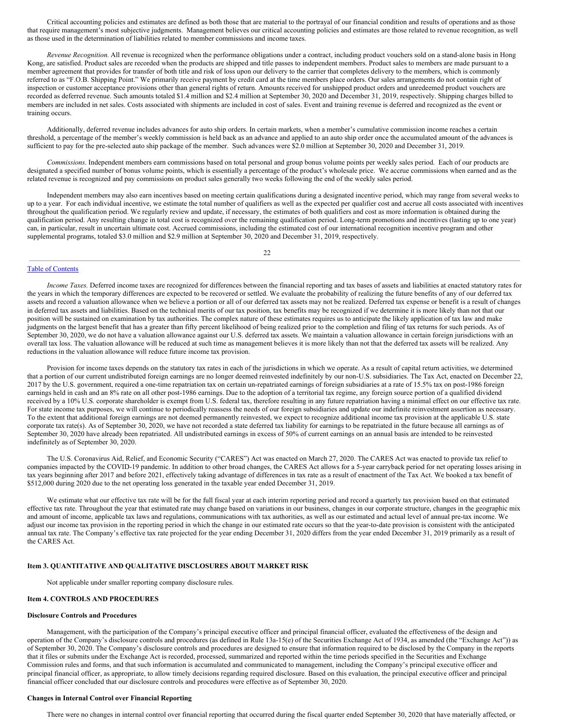Critical accounting policies and estimates are defined as both those that are material to the portrayal of our financial condition and results of operations and as those that require management's most subjective judgments. Management believes our critical accounting policies and estimates are those related to revenue recognition, as well as those used in the determination of liabilities related to member commissions and income taxes.

*Revenue Recognition.* All revenue is recognized when the performance obligations under a contract, including product vouchers sold on a stand-alone basis in Hong Kong, are satisfied. Product sales are recorded when the products are shipped and title passes to independent members. Product sales to members are made pursuant to a member agreement that provides for transfer of both title and risk of loss upon our delivery to the carrier that completes delivery to the members, which is commonly referred to as "F.O.B. Shipping Point." We primarily receive payment by credit card at the time members place orders. Our sales arrangements do not contain right of inspection or customer acceptance provisions other than general rights of return. Amounts received for unshipped product orders and unredeemed product vouchers are recorded as deferred revenue. Such amounts totaled \$1.4 million and \$2.4 million at September 30, 2020 and December 31, 2019, respectively. Shipping charges billed to members are included in net sales. Costs associated with shipments are included in cost of sales. Event and training revenue is deferred and recognized as the event or training occurs.

Additionally, deferred revenue includes advances for auto ship orders. In certain markets, when a member's cumulative commission income reaches a certain threshold, a percentage of the member's weekly commission is held back as an advance and applied to an auto ship order once the accumulated amount of the advances is sufficient to pay for the pre-selected auto ship package of the member. Such advances were \$2.0 million at September 30, 2020 and December 31, 2019.

*Commissions*. Independent members earn commissions based on total personal and group bonus volume points per weekly sales period. Each of our products are designated a specified number of bonus volume points, which is essentially a percentage of the product's wholesale price. We accrue commissions when earned and as the related revenue is recognized and pay commissions on product sales generally two weeks following the end of the weekly sales period.

Independent members may also earn incentives based on meeting certain qualifications during a designated incentive period, which may range from several weeks to up to a year. For each individual incentive, we estimate the total number of qualifiers as well as the expected per qualifier cost and accrue all costs associated with incentives throughout the qualification period. We regularly review and update, if necessary, the estimates of both qualifiers and cost as more information is obtained during the qualification period. Any resulting change in total cost is recognized over the remaining qualification period. Long-term promotions and incentives (lasting up to one year) can, in particular, result in uncertain ultimate cost. Accrued commissions, including the estimated cost of our international recognition incentive program and other supplemental programs, totaled \$3.0 million and \$2.9 million at September 30, 2020 and December 31, 2019, respectively.

22

#### Table of [Contents](#page-0-0)

*Income Taxes*. Deferred income taxes are recognized for differences between the financial reporting and tax bases of assets and liabilities at enacted statutory rates for the years in which the temporary differences are expected to be recovered or settled. We evaluate the probability of realizing the future benefits of any of our deferred tax assets and record a valuation allowance when we believe a portion or all of our deferred tax assets may not be realized. Deferred tax expense or benefit is a result of changes in deferred tax assets and liabilities. Based on the technical merits of our tax position, tax benefits may be recognized if we determine it is more likely than not that our position will be sustained on examination by tax authorities. The complex nature of these estimates requires us to anticipate the likely application of tax law and make judgments on the largest benefit that has a greater than fifty percent likelihood of being realized prior to the completion and filing of tax returns for such periods. As of September 30, 2020, we do not have a valuation allowance against our U.S. deferred tax assets. We maintain a valuation allowance in certain foreign jurisdictions with an overall tax loss. The valuation allowance will be reduced at such time as management believes it is more likely than not that the deferred tax assets will be realized. Any reductions in the valuation allowance will reduce future income tax provision.

Provision for income taxes depends on the statutory tax rates in each of the jurisdictions in which we operate. As a result of capital return activities, we determined that a portion of our current undistributed foreign earnings are no longer deemed reinvested indefinitely by our non-U.S. subsidiaries. The Tax Act, enacted on December 22, 2017 by the U.S. government, required a one-time repatriation tax on certain un-repatriated earnings of foreign subsidiaries at a rate of 15.5% tax on post-1986 foreign earnings held in cash and an 8% rate on all other post-1986 earnings. Due to the adoption of a territorial tax regime, any foreign source portion of a qualified dividend received by a 10% U.S. corporate shareholder is exempt from U.S. federal tax, therefore resulting in any future repatriation having a minimal effect on our effective tax rate. For state income tax purposes, we will continue to periodically reassess the needs of our foreign subsidiaries and update our indefinite reinvestment assertion as necessary. To the extent that additional foreign earnings are not deemed permanently reinvested, we expect to recognize additional income tax provision at the applicable U.S. state corporate tax rate(s). As of September 30, 2020, we have not recorded a state deferred tax liability for earnings to be repatriated in the future because all earnings as of September 30, 2020 have already been repatriated. All undistributed earnings in excess of 50% of current earnings on an annual basis are intended to be reinvested indefinitely as of September 30, 2020.

The U.S. Coronavirus Aid, Relief, and Economic Security ("CARES") Act was enacted on March 27, 2020. The CARES Act was enacted to provide tax relief to companies impacted by the COVID-19 pandemic. In addition to other broad changes, the CARES Act allows for a 5-year carryback period for net operating losses arising in tax years beginning after 2017 and before 2021, effectively taking advantage of differences in tax rate as a result of enactment of the Tax Act. We booked a tax benefit of \$512,000 during 2020 due to the net operating loss generated in the taxable year ended December 31, 2019.

We estimate what our effective tax rate will be for the full fiscal year at each interim reporting period and record a quarterly tax provision based on that estimated effective tax rate. Throughout the year that estimated rate may change based on variations in our business, changes in our corporate structure, changes in the geographic mix and amount of income, applicable tax laws and regulations, communications with tax authorities, as well as our estimated and actual level of annual pre-tax income. We adjust our income tax provision in the reporting period in which the change in our estimated rate occurs so that the year-to-date provision is consistent with the anticipated annual tax rate. The Company's effective tax rate projected for the year ending December 31, 2020 differs from the year ended December 31, 2019 primarily as a result of the CARES Act.

#### **Item 3. QUANTITATIVE AND QUALITATIVE DISCLOSURES ABOUT MARKET RISK**

Not applicable under smaller reporting company disclosure rules.

#### **Item 4. CONTROLS AND PROCEDURES**

#### **Disclosure Controls and Procedures**

Management, with the participation of the Company's principal executive officer and principal financial officer, evaluated the effectiveness of the design and operation of the Company's disclosure controls and procedures (as defined in Rule 13a-15(e) of the Securities Exchange Act of 1934, as amended (the "Exchange Act")) as of September 30, 2020. The Company's disclosure controls and procedures are designed to ensure that information required to be disclosed by the Company in the reports that it files or submits under the Exchange Act is recorded, processed, summarized and reported within the time periods specified in the Securities and Exchange Commission rules and forms, and that such information is accumulated and communicated to management, including the Company's principal executive officer and principal financial officer, as appropriate, to allow timely decisions regarding required disclosure. Based on this evaluation, the principal executive officer and principal financial officer concluded that our disclosure controls and procedures were effective as of September 30, 2020.

#### **Changes in Internal Control over Financial Reporting**

There were no changes in internal control over financial reporting that occurred during the fiscal quarter ended September 30, 2020 that have materially affected, or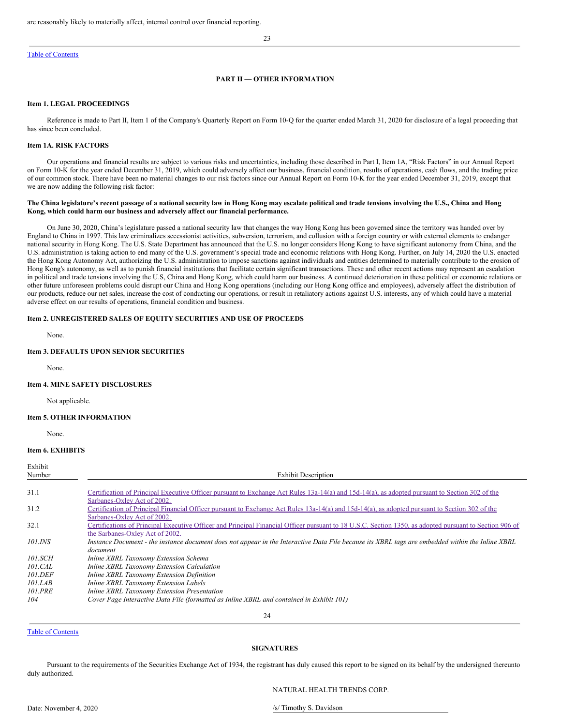#### Table of [Contents](#page-0-0)

## 23

## **PART II — OTHER INFORMATION**

#### **Item 1. LEGAL PROCEEDINGS**

Reference is made to Part II, Item 1 of the Company's Quarterly Report on Form 10-Q for the quarter ended March 31, 2020 for disclosure of a legal proceeding that has since been concluded.

### **Item 1A. RISK FACTORS**

Our operations and financial results are subject to various risks and uncertainties, including those described in Part I, Item 1A, "Risk Factors" in our Annual Report on Form 10-K for the year ended December 31, 2019, which could adversely affect our business, financial condition, results of operations, cash flows, and the trading price of our common stock. There have been no material changes to our risk factors since our Annual Report on Form 10-K for the year ended December 31, 2019, except that we are now adding the following risk factor:

#### The China legislature's recent passage of a national security law in Hong Kong may escalate political and trade tensions involving the U.S., China and Hong **Kong, which could harm our business and adversely affect our financial performance.**

On June 30, 2020, China's legislature passed a national security law that changes the way Hong Kong has been governed since the territory was handed over by England to China in 1997. This law criminalizes secessionist activities, subversion, terrorism, and collusion with a foreign country or with external elements to endanger national security in Hong Kong. The U.S. State Department has announced that the U.S. no longer considers Hong Kong to have significant autonomy from China, and the U.S. administration is taking action to end many of the U.S. government's special trade and economic relations with Hong Kong. Further, on July 14, 2020 the U.S. enacted the Hong Kong Autonomy Act, authorizing the U.S. administration to impose sanctions against individuals and entities determined to materially contribute to the erosion of Hong Kong's autonomy, as well as to punish financial institutions that facilitate certain significant transactions. These and other recent actions may represent an escalation in political and trade tensions involving the U.S, China and Hong Kong, which could harm our business. A continued deterioration in these political or economic relations or other future unforeseen problems could disrupt our China and Hong Kong operations (including our Hong Kong office and employees), adversely affect the distribution of our products, reduce our net sales, increase the cost of conducting our operations, or result in retaliatory actions against U.S. interests, any of which could have a material adverse effect on our results of operations, financial condition and business.

### **Item 2. UNREGISTERED SALES OF EQUITY SECURITIES AND USE OF PROCEEDS**

None.

## **Item 3. DEFAULTS UPON SENIOR SECURITIES**

None.

#### **Item 4. MINE SAFETY DISCLOSURES**

Not applicable.

#### **Item 5. OTHER INFORMATION**

None.

#### **Item 6. EXHIBITS**

| Exhibit<br>Number     | <b>Exhibit Description</b>                                                                                                                              |
|-----------------------|---------------------------------------------------------------------------------------------------------------------------------------------------------|
|                       |                                                                                                                                                         |
| 31.1                  | Certification of Principal Executive Officer pursuant to Exchange Act Rules 13a-14(a) and 15d-14(a), as adopted pursuant to Section 302 of the          |
|                       | Sarbanes-Oxley Act of 2002.                                                                                                                             |
| 31.2                  | Certification of Principal Financial Officer pursuant to Exchange Act Rules 13a-14(a) and 15d-14(a), as adopted pursuant to Section 302 of the          |
|                       | Sarbanes-Oxley Act of 2002.                                                                                                                             |
| 32.1                  | Certifications of Principal Executive Officer and Principal Financial Officer pursuant to 18 U.S.C. Section 1350, as adopted pursuant to Section 906 of |
|                       | the Sarbanes-Oxley Act of 2002.                                                                                                                         |
| <i>101.INS</i>        | Instance Document - the instance document does not appear in the Interactive Data File because its XBRL tags are embedded within the Inline XBRL        |
|                       | document                                                                                                                                                |
| <i>101.SCH</i>        | Inline XBRL Taxonomy Extension Schema                                                                                                                   |
| 101.CAL               | Inline XBRL Taxonomy Extension Calculation                                                                                                              |
| <i><b>101.DEF</b></i> | Inline XBRL Taxonomy Extension Definition                                                                                                               |
| 101.LAB               | Inline XBRL Taxonomy Extension Labels                                                                                                                   |
| <b>101.PRE</b>        | Inline XBRL Taxonomy Extension Presentation                                                                                                             |
| 104                   | Cover Page Interactive Data File (formatted as Inline XBRL and contained in Exhibit 101)                                                                |
|                       |                                                                                                                                                         |

### 24

### Table of [Contents](#page-0-0)

### **SIGNATURES**

Pursuant to the requirements of the Securities Exchange Act of 1934, the registrant has duly caused this report to be signed on its behalf by the undersigned thereunto duly authorized.

NATURAL HEALTH TRENDS CORP.

Date: November 4, 2020 /s/ Timothy S. Davidson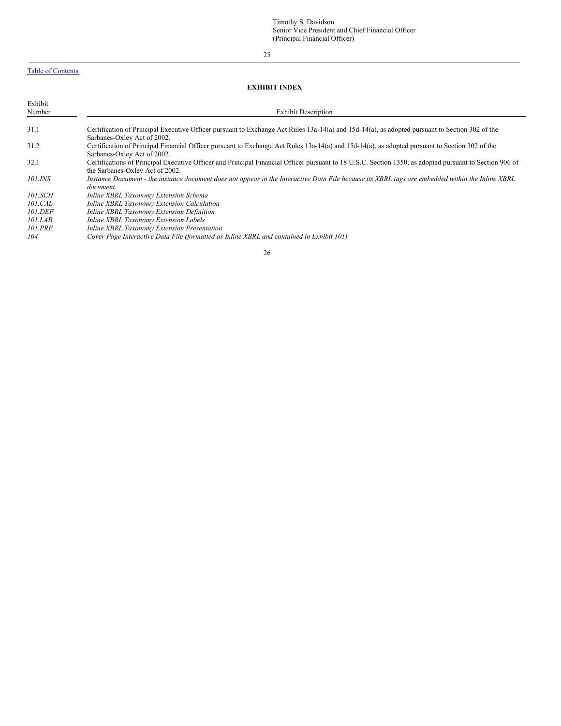## Table of [Contents](#page-0-0)

Exhibit

## 25

|                   | <b>EXHIBIT INDEX</b> |                            |  |  |  |  |  |  |
|-------------------|----------------------|----------------------------|--|--|--|--|--|--|
| Exhibit<br>Number |                      | <b>Exhibit Description</b> |  |  |  |  |  |  |
| - - -             |                      |                            |  |  |  |  |  |  |

| 31.1           | Certification of Principal Executive Officer pursuant to Exchange Act Rules 13a-14(a) and 15d-14(a), as adopted pursuant to Section 302 of the          |
|----------------|---------------------------------------------------------------------------------------------------------------------------------------------------------|
|                | Sarbanes-Oxley Act of 2002.                                                                                                                             |
| 31.2           | Certification of Principal Financial Officer pursuant to Exchange Act Rules 13a-14(a) and 15d-14(a), as adopted pursuant to Section 302 of the          |
|                | Sarbanes-Oxley Act of 2002.                                                                                                                             |
| 32.1           | Certifications of Principal Executive Officer and Principal Financial Officer pursuant to 18 U.S.C. Section 1350, as adopted pursuant to Section 906 of |
|                | the Sarbanes-Oxley Act of 2002.                                                                                                                         |
| 101.INS        | Instance Document - the instance document does not appear in the Interactive Data File because its XBRL tags are embedded within the Inline XBRL        |
|                | document                                                                                                                                                |
| 101.SCH        | Inline XBRL Taxonomy Extension Schema                                                                                                                   |
| 101.CAL        | Inline XBRL Taxonomy Extension Calculation                                                                                                              |
| <i>101.DEF</i> | Inline XBRL Taxonomy Extension Definition                                                                                                               |
| 101.LAB        | Inline XBRL Taxonomy Extension Labels                                                                                                                   |
| <b>101.PRE</b> | Inline XBRL Taxonomy Extension Presentation                                                                                                             |
| 104            | Cover Page Interactive Data File (formatted as Inline XBRL and contained in Exhibit 101)                                                                |
|                |                                                                                                                                                         |

26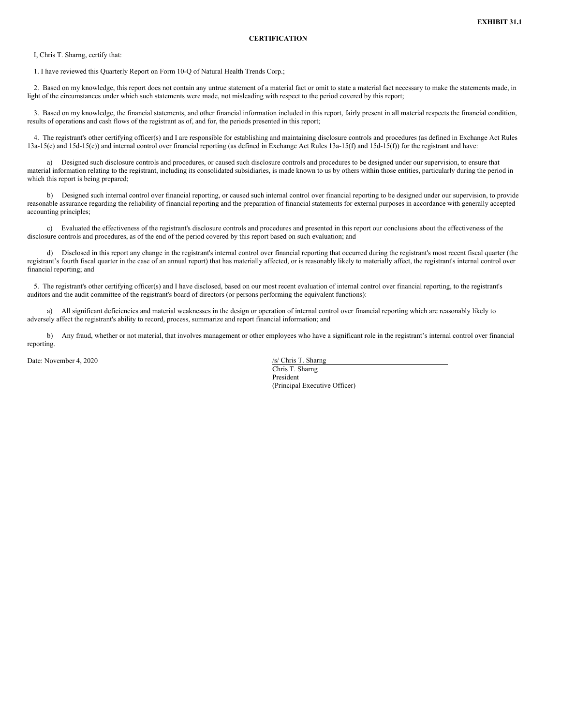<span id="page-20-0"></span>I, Chris T. Sharng, certify that:

1. I have reviewed this Quarterly Report on Form 10-Q of Natural Health Trends Corp.;

2. Based on my knowledge, this report does not contain any untrue statement of a material fact or omit to state a material fact necessary to make the statements made, in light of the circumstances under which such statements were made, not misleading with respect to the period covered by this report;

3. Based on my knowledge, the financial statements, and other financial information included in this report, fairly present in all material respects the financial condition, results of operations and cash flows of the registrant as of, and for, the periods presented in this report;

4. The registrant's other certifying officer(s) and I are responsible for establishing and maintaining disclosure controls and procedures (as defined in Exchange Act Rules 13a-15(e) and 15d-15(e)) and internal control over financial reporting (as defined in Exchange Act Rules 13a-15(f) and 15d-15(f)) for the registrant and have:

a) Designed such disclosure controls and procedures, or caused such disclosure controls and procedures to be designed under our supervision, to ensure that material information relating to the registrant, including its consolidated subsidiaries, is made known to us by others within those entities, particularly during the period in which this report is being prepared;

b) Designed such internal control over financial reporting, or caused such internal control over financial reporting to be designed under our supervision, to provide reasonable assurance regarding the reliability of financial reporting and the preparation of financial statements for external purposes in accordance with generally accepted accounting principles;

c) Evaluated the effectiveness of the registrant's disclosure controls and procedures and presented in this report our conclusions about the effectiveness of the disclosure controls and procedures, as of the end of the period covered by this report based on such evaluation; and

d) Disclosed in this report any change in the registrant's internal control over financial reporting that occurred during the registrant's most recent fiscal quarter (the registrant's fourth fiscal quarter in the case of an annual report) that has materially affected, or is reasonably likely to materially affect, the registrant's internal control over financial reporting; and

5. The registrant's other certifying officer(s) and I have disclosed, based on our most recent evaluation of internal control over financial reporting, to the registrant's auditors and the audit committee of the registrant's board of directors (or persons performing the equivalent functions):

a) All significant deficiencies and material weaknesses in the design or operation of internal control over financial reporting which are reasonably likely to adversely affect the registrant's ability to record, process, summarize and report financial information; and

b) Any fraud, whether or not material, that involves management or other employees who have a significant role in the registrant's internal control over financial reporting.

Date: November 4, 2020 /s/ Chris T. Sharng

Chris T. Sharng President (Principal Executive Officer)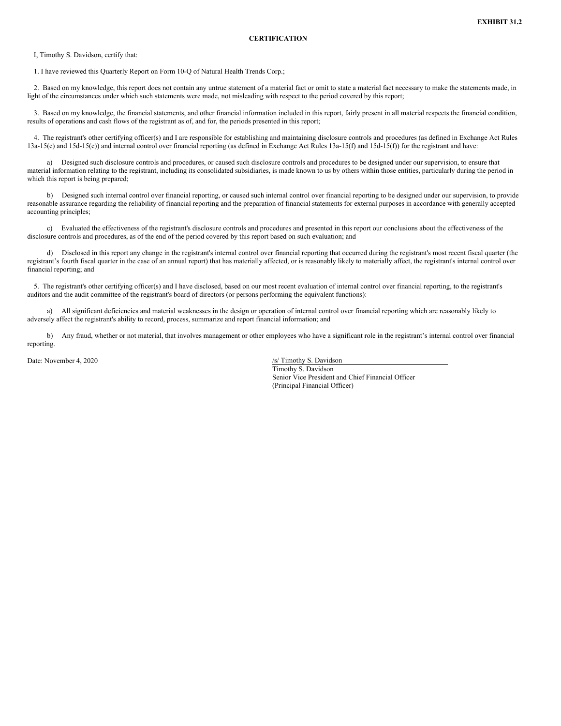<span id="page-21-0"></span>I, Timothy S. Davidson, certify that:

1. I have reviewed this Quarterly Report on Form 10-Q of Natural Health Trends Corp.;

2. Based on my knowledge, this report does not contain any untrue statement of a material fact or omit to state a material fact necessary to make the statements made, in light of the circumstances under which such statements were made, not misleading with respect to the period covered by this report;

3. Based on my knowledge, the financial statements, and other financial information included in this report, fairly present in all material respects the financial condition, results of operations and cash flows of the registrant as of, and for, the periods presented in this report;

4. The registrant's other certifying officer(s) and I are responsible for establishing and maintaining disclosure controls and procedures (as defined in Exchange Act Rules 13a-15(e) and 15d-15(e)) and internal control over financial reporting (as defined in Exchange Act Rules 13a-15(f) and 15d-15(f)) for the registrant and have:

a) Designed such disclosure controls and procedures, or caused such disclosure controls and procedures to be designed under our supervision, to ensure that material information relating to the registrant, including its consolidated subsidiaries, is made known to us by others within those entities, particularly during the period in which this report is being prepared;

b) Designed such internal control over financial reporting, or caused such internal control over financial reporting to be designed under our supervision, to provide reasonable assurance regarding the reliability of financial reporting and the preparation of financial statements for external purposes in accordance with generally accepted accounting principles;

c) Evaluated the effectiveness of the registrant's disclosure controls and procedures and presented in this report our conclusions about the effectiveness of the disclosure controls and procedures, as of the end of the period covered by this report based on such evaluation; and

d) Disclosed in this report any change in the registrant's internal control over financial reporting that occurred during the registrant's most recent fiscal quarter (the registrant's fourth fiscal quarter in the case of an annual report) that has materially affected, or is reasonably likely to materially affect, the registrant's internal control over financial reporting; and

5. The registrant's other certifying officer(s) and I have disclosed, based on our most recent evaluation of internal control over financial reporting, to the registrant's auditors and the audit committee of the registrant's board of directors (or persons performing the equivalent functions):

a) All significant deficiencies and material weaknesses in the design or operation of internal control over financial reporting which are reasonably likely to adversely affect the registrant's ability to record, process, summarize and report financial information; and

b) Any fraud, whether or not material, that involves management or other employees who have a significant role in the registrant's internal control over financial reporting.

Date: November 4, 2020 /s/ Timothy S. Davidson

Timothy S. Davidson Senior Vice President and Chief Financial Officer (Principal Financial Officer)